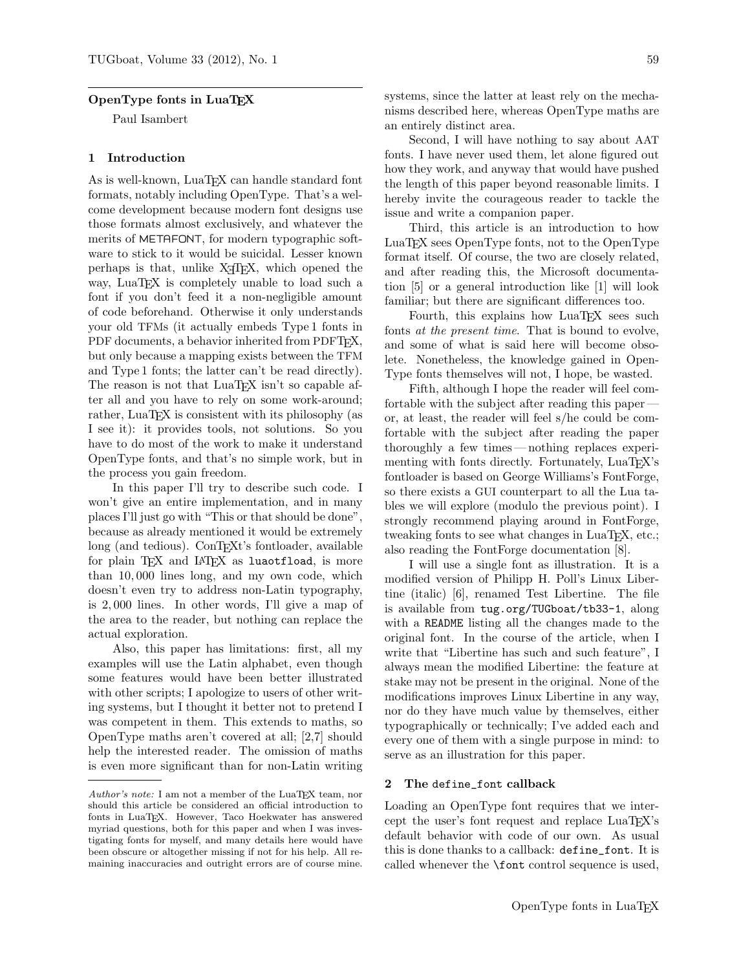### OpenType fonts in LuaTEX

Paul Isambert

### 1 Introduction

As is well-known, LuaT<sub>EX</sub> can handle standard font formats, notably including OpenType. That's a welcome development because modern font designs use those formats almost exclusively, and whatever the merits of METAFONT, for modern typographic software to stick to it would be suicidal. Lesser known perhaps is that, unlike  $X \not\subset T$ . which opened the way, LuaT<sub>E</sub>X is completely unable to load such a font if you don't feed it a non-negligible amount of code beforehand. Otherwise it only understands your old TFMs (it actually embeds Type 1 fonts in PDF documents, a behavior inherited from PDFT<sub>F</sub>X, but only because a mapping exists between the TFM and Type 1 fonts; the latter can't be read directly). The reason is not that LuaT<sub>EX</sub> isn't so capable after all and you have to rely on some work-around; rather, LuaT<sub>EX</sub> is consistent with its philosophy (as I see it): it provides tools, not solutions. So you have to do most of the work to make it understand OpenType fonts, and that's no simple work, but in the process you gain freedom.

In this paper I'll try to describe such code. I won't give an entire implementation, and in many places I'll just go with "This or that should be done", because as already mentioned it would be extremely long (and tedious). ConTEXt's fontloader, available for plain T<sub>E</sub>X and L<sup>AT</sup>E<sub>X</sub> as luaotfload, is more than 10, 000 lines long, and my own code, which doesn't even try to address non-Latin typography, is 2, 000 lines. In other words, I'll give a map of the area to the reader, but nothing can replace the actual exploration.

Also, this paper has limitations: first, all my examples will use the Latin alphabet, even though some features would have been better illustrated with other scripts; I apologize to users of other writing systems, but I thought it better not to pretend I was competent in them. This extends to maths, so OpenType maths aren't covered at all; [2,7] should help the interested reader. The omission of maths is even more significant than for non-Latin writing systems, since the latter at least rely on the mechanisms described here, whereas OpenType maths are an entirely distinct area.

Second, I will have nothing to say about AAT fonts. I have never used them, let alone figured out how they work, and anyway that would have pushed the length of this paper beyond reasonable limits. I hereby invite the courageous reader to tackle the issue and write a companion paper.

Third, this article is an introduction to how LuaTEX sees OpenType fonts, not to the OpenType format itself. Of course, the two are closely related, and after reading this, the Microsoft documentation [5] or a general introduction like [1] will look familiar; but there are significant differences too.

Fourth, this explains how LuaT<sub>E</sub>X sees such fonts at the present time. That is bound to evolve, and some of what is said here will become obsolete. Nonetheless, the knowledge gained in Open-Type fonts themselves will not, I hope, be wasted.

Fifth, although I hope the reader will feel comfortable with the subject after reading this paper or, at least, the reader will feel s/he could be comfortable with the subject after reading the paper thoroughly a few times— nothing replaces experimenting with fonts directly. Fortunately, LuaT<sub>EX</sub>'s fontloader is based on George Williams's FontForge, so there exists a GUI counterpart to all the Lua tables we will explore (modulo the previous point). I strongly recommend playing around in FontForge, tweaking fonts to see what changes in LuaT<sub>E</sub>X, etc.; also reading the FontForge documentation [8].

I will use a single font as illustration. It is a modified version of Philipp H. Poll's Linux Libertine (italic) [6], renamed Test Libertine. The file is available from tug.org/TUGboat/tb33-1, along with a README listing all the changes made to the original font. In the course of the article, when I write that "Libertine has such and such feature", I always mean the modified Libertine: the feature at stake may not be present in the original. None of the modifications improves Linux Libertine in any way, nor do they have much value by themselves, either typographically or technically; I've added each and every one of them with a single purpose in mind: to serve as an illustration for this paper.

#### 2 The define\_font callback

Loading an OpenType font requires that we intercept the user's font request and replace LuaT<sub>EX</sub>'s default behavior with code of our own. As usual this is done thanks to a callback: define\_font. It is called whenever the \font control sequence is used,

Author's note: I am not a member of the LuaTEX team, nor should this article be considered an official introduction to fonts in LuaTEX. However, Taco Hoekwater has answered myriad questions, both for this paper and when I was investigating fonts for myself, and many details here would have been obscure or altogether missing if not for his help. All remaining inaccuracies and outright errors are of course mine.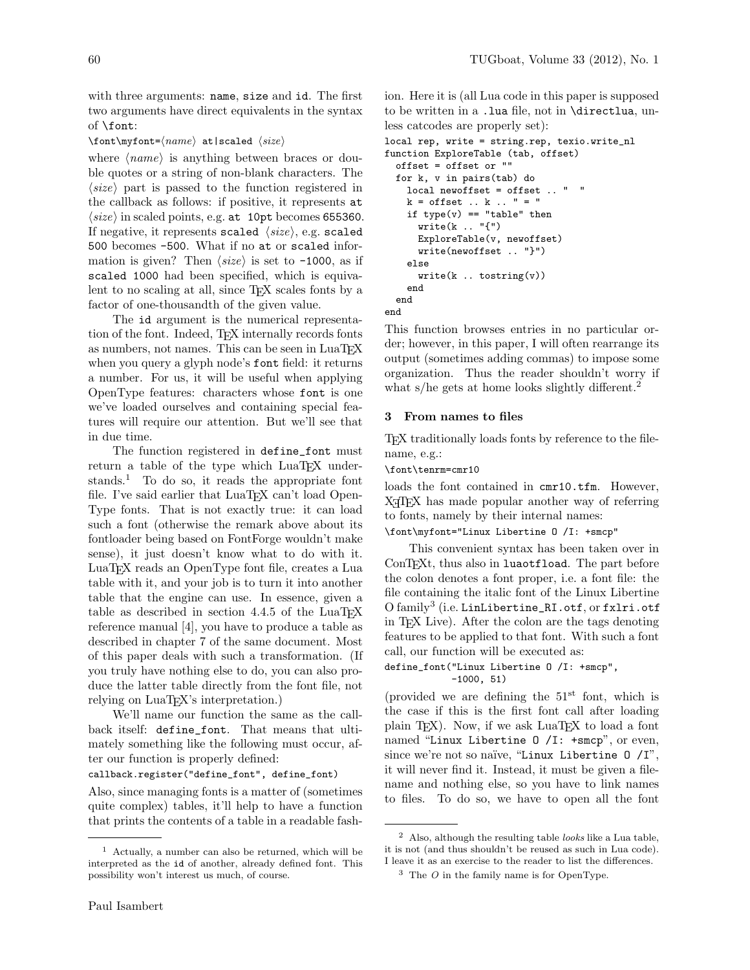with three arguments: name, size and id. The first two arguments have direct equivalents in the syntax of \font:

### $\forall$ font $\mathcal{name}$  at|scaled  $\langle size \rangle$

where  $\langle name \rangle$  is anything between braces or double quotes or a string of non-blank characters. The  $\langle size \rangle$  part is passed to the function registered in the callback as follows: if positive, it represents at  $\langle size \rangle$  in scaled points, e.g. at 10pt becomes 655360. If negative, it represents scaled  $\langle size \rangle$ , e.g. scaled 500 becomes -500. What if no at or scaled information is given? Then  $\langle size \rangle$  is set to -1000, as if scaled 1000 had been specified, which is equivalent to no scaling at all, since T<sub>E</sub>X scales fonts by a factor of one-thousandth of the given value.

The id argument is the numerical representation of the font. Indeed, TEX internally records fonts as numbers, not names. This can be seen in LuaTFX when you query a glyph node's font field: it returns a number. For us, it will be useful when applying OpenType features: characters whose font is one we've loaded ourselves and containing special features will require our attention. But we'll see that in due time.

The function registered in define\_font must return a table of the type which LuaT<sub>EX</sub> understands.<sup>1</sup> To do so, it reads the appropriate font file. I've said earlier that LuaT<sub>EX</sub> can't load Open-Type fonts. That is not exactly true: it can load such a font (otherwise the remark above about its fontloader being based on FontForge wouldn't make sense), it just doesn't know what to do with it. LuaTEX reads an OpenType font file, creates a Lua table with it, and your job is to turn it into another table that the engine can use. In essence, given a table as described in section 4.4.5 of the LuaTEX reference manual [4], you have to produce a table as described in chapter 7 of the same document. Most of this paper deals with such a transformation. (If you truly have nothing else to do, you can also produce the latter table directly from the font file, not relying on LuaT<sub>EX</sub>'s interpretation.)

We'll name our function the same as the callback itself: define\_font. That means that ultimately something like the following must occur, after our function is properly defined:

# callback.register("define\_font", define\_font)

Also, since managing fonts is a matter of (sometimes quite complex) tables, it'll help to have a function that prints the contents of a table in a readable fash-

ion. Here it is (all Lua code in this paper is supposed to be written in a .lua file, not in \directlua, unless catcodes are properly set):

```
local rep, write = string.rep, texio.write_nl
function ExploreTable (tab, offset)
 offset = offset or ""
 for k, v in pairs(tab) do
    local newoffset = offset .. " "
    k = \text{offset} \dots k \dots " = "if type(v) == "table" thenwrite(k \dots "{'})ExploreTable(v, newoffset)
      write(newoffset .. "}")
    else
      write(k \dots tostring(v))end
 end
end
```
This function browses entries in no particular order; however, in this paper, I will often rearrange its output (sometimes adding commas) to impose some organization. Thus the reader shouldn't worry if what s/he gets at home looks slightly different.<sup>2</sup>

### 3 From names to files

TEX traditionally loads fonts by reference to the filename, e.g.:

\font\tenrm=cmr10

loads the font contained in cmr10.tfm. However, X<sub>T</sub>T<sub>F</sub>X has made popular another way of referring to fonts, namely by their internal names: \font\myfont="Linux Libertine O /I: +smcp"

This convenient syntax has been taken over in ConTEXt, thus also in luaotfload. The part before the colon denotes a font proper, i.e. a font file: the file containing the italic font of the Linux Libertine O family<sup>3</sup> (i.e. LinLibertine\_RI.otf, or fxlri.otf in TEX Live). After the colon are the tags denoting features to be applied to that font. With such a font call, our function will be executed as:

### define\_font("Linux Libertine O /I: +smcp", -1000, 51)

(provided we are defining the  $51<sup>st</sup>$  font, which is the case if this is the first font call after loading plain T<sub>EX</sub>). Now, if we ask  $\text{LuaT}$ <sub>EX</sub> to load a font named "Linux Libertine 0 /I: +smcp", or even, since we're not so naïve, "Linux Libertine  $0 / I$ ", it will never find it. Instead, it must be given a filename and nothing else, so you have to link names to files. To do so, we have to open all the font

<sup>1</sup> Actually, a number can also be returned, which will be interpreted as the id of another, already defined font. This possibility won't interest us much, of course.

 $<sup>2</sup>$  Also, although the resulting table *looks* like a Lua table,</sup> it is not (and thus shouldn't be reused as such in Lua code). I leave it as an exercise to the reader to list the differences.

 $3$  The O in the family name is for OpenType.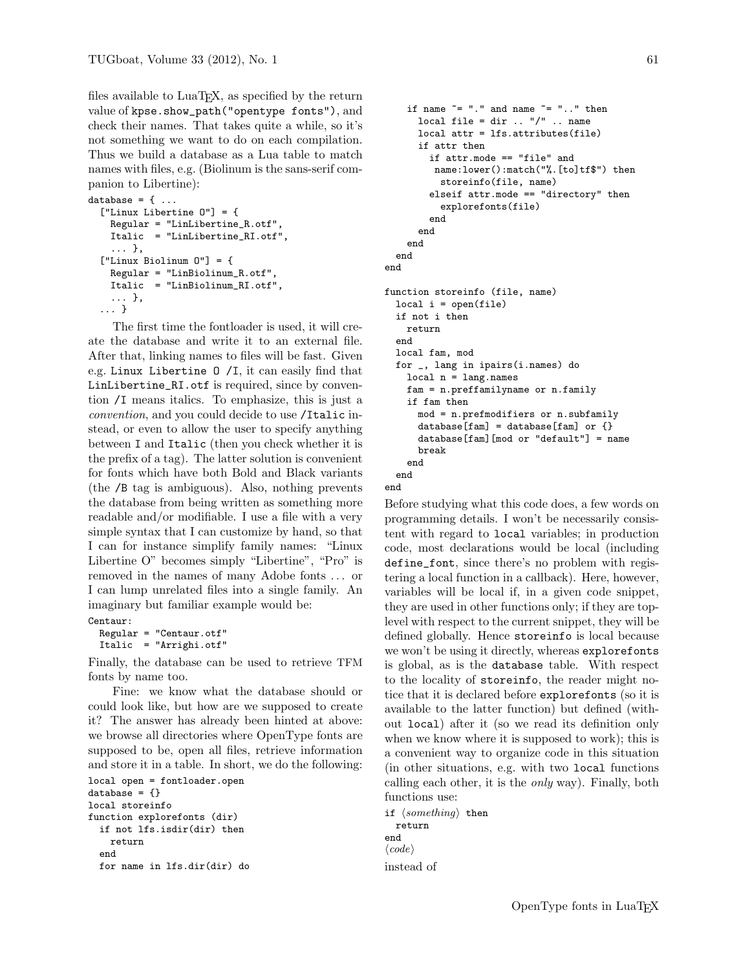files available to LuaT<sub>EX</sub>, as specified by the return value of kpse.show\_path("opentype fonts"), and check their names. That takes quite a while, so it's not something we want to do on each compilation. Thus we build a database as a Lua table to match names with files, e.g. (Biolinum is the sans-serif companion to Libertine):

```
database = \{ \ldots \}["Linux Libertine O"] = {
    Regular = "LinLibertine_R.otf",
    Italic = "LinLibertine_RI.otf",
    ... },
  ["Linux Biolinum O"] = {
    Regular = "LinBiolinum_R.otf",
    Italic = "LinBiolinum_RI.otf",
    ... },
  ... }
```
The first time the fontloader is used, it will create the database and write it to an external file. After that, linking names to files will be fast. Given e.g. Linux Libertine O /I, it can easily find that LinLibertine\_RI.otf is required, since by convention /I means italics. To emphasize, this is just a convention, and you could decide to use /Italic instead, or even to allow the user to specify anything between I and Italic (then you check whether it is the prefix of a tag). The latter solution is convenient for fonts which have both Bold and Black variants (the /B tag is ambiguous). Also, nothing prevents the database from being written as something more readable and/or modifiable. I use a file with a very simple syntax that I can customize by hand, so that I can for instance simplify family names: "Linux Libertine O" becomes simply "Libertine", "Pro" is removed in the names of many Adobe fonts . . . or I can lump unrelated files into a single family. An imaginary but familiar example would be: Centaur:

```
Regular = "Centaur.otf"
Italic = "Arrighi.otf"
```
Finally, the database can be used to retrieve TFM fonts by name too.

Fine: we know what the database should or could look like, but how are we supposed to create it? The answer has already been hinted at above: we browse all directories where OpenType fonts are supposed to be, open all files, retrieve information and store it in a table. In short, we do the following: local open = fontloader.open database =  $\{\}$ 

```
local storeinfo
function explorefonts (dir)
  if not lfs.isdir(dir) then
    return
  end
  for name in lfs.dir(dir) do
```

```
if name \tilde{=} "." and name \tilde{=} ".." then
      local file = dir \ldots "/" \ldots name
      local attr = lfs.attributes(file)
      if attr then
        if attr.mode == "file" and
         name:lower():match("%.[to]tf$") then
          storeinfo(file, name)
        elseif attr.mode == "directory" then
          explorefonts(file)
        end
      end
    end
 end
end
function storeinfo (file, name)
  local i = open(file)if not i then
    return
  end
  local fam, mod
  for _, lang in ipairs(i.names) do
    local n = lang.namefam = n.preffamilyname or n.family
    if fam then
      mod = n.prefmodifiers or n.subfamily
      database[fm] = database[fm] or \{\}database[fam][mod or "default"] = name
      break
    end
  end
```
end

Before studying what this code does, a few words on programming details. I won't be necessarily consistent with regard to local variables; in production code, most declarations would be local (including define\_font, since there's no problem with registering a local function in a callback). Here, however, variables will be local if, in a given code snippet, they are used in other functions only; if they are toplevel with respect to the current snippet, they will be defined globally. Hence storeinfo is local because we won't be using it directly, whereas explorefonts is global, as is the database table. With respect to the locality of storeinfo, the reader might notice that it is declared before explorefonts (so it is available to the latter function) but defined (without local) after it (so we read its definition only when we know where it is supposed to work); this is a convenient way to organize code in this situation (in other situations, e.g. with two local functions calling each other, it is the only way). Finally, both functions use:

if  $\langle something \rangle$  then return end  $\langle code \rangle$ instead of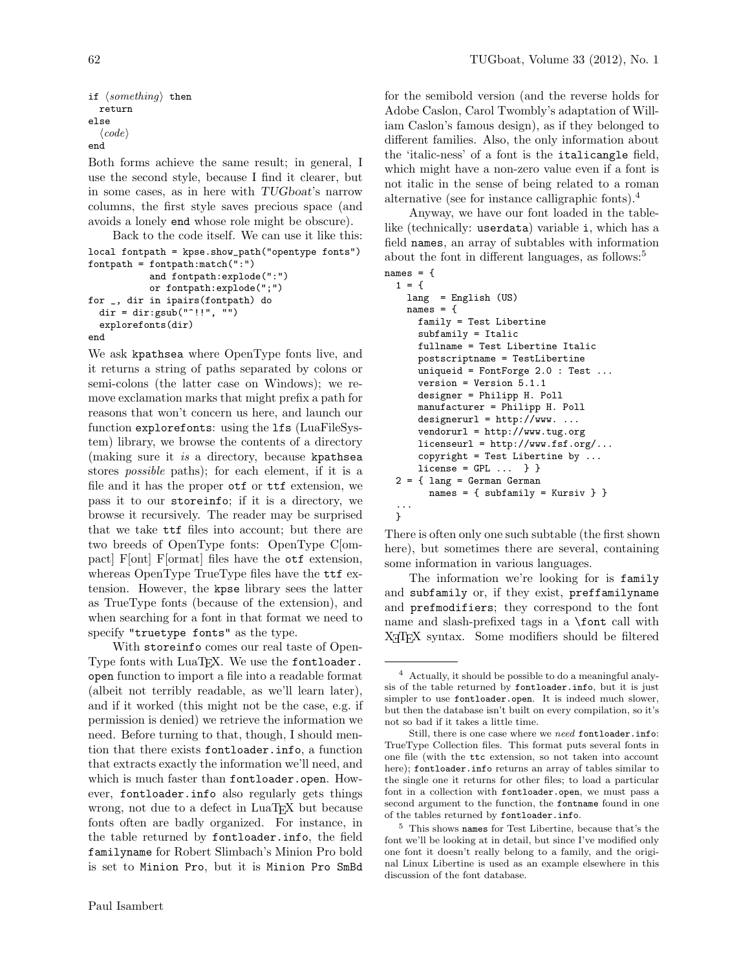```
if \langle something \rangle then
   return
else
    \langle code \rangleend
```
Both forms achieve the same result; in general, I use the second style, because I find it clearer, but in some cases, as in here with TUGboat's narrow columns, the first style saves precious space (and avoids a lonely end whose role might be obscure).

Back to the code itself. We can use it like this: local fontpath = kpse.show\_path("opentype fonts")

```
fontpath = fontpath:match(":")
           and fontpath:explode(":")
           or fontpath:explode(";")
for _, dir in ipairs(fontpath) do
  dir = dir:gsub("']!!, "")
  explorefonts(dir)
end
```
We ask kpathsea where OpenType fonts live, and it returns a string of paths separated by colons or semi-colons (the latter case on Windows); we remove exclamation marks that might prefix a path for reasons that won't concern us here, and launch our function explorefonts: using the lfs (LuaFileSystem) library, we browse the contents of a directory (making sure it is a directory, because kpathsea stores possible paths); for each element, if it is a file and it has the proper otf or ttf extension, we pass it to our storeinfo; if it is a directory, we browse it recursively. The reader may be surprised that we take ttf files into account; but there are two breeds of OpenType fonts: OpenType C[ompact] F[ont] F[ormat] files have the otf extension, whereas OpenType TrueType files have the ttf extension. However, the kpse library sees the latter as TrueType fonts (because of the extension), and when searching for a font in that format we need to specify "truetype fonts" as the type.

With storeinfo comes our real taste of Open-Type fonts with LuaT<sub>EX</sub>. We use the fontloader. open function to import a file into a readable format (albeit not terribly readable, as we'll learn later), and if it worked (this might not be the case, e.g. if permission is denied) we retrieve the information we need. Before turning to that, though, I should mention that there exists fontloader.info, a function that extracts exactly the information we'll need, and which is much faster than fontloader.open. However, fontloader.info also regularly gets things wrong, not due to a defect in LuaTEX but because fonts often are badly organized. For instance, in the table returned by fontloader.info, the field familyname for Robert Slimbach's Minion Pro bold is set to Minion Pro, but it is Minion Pro SmBd

for the semibold version (and the reverse holds for Adobe Caslon, Carol Twombly's adaptation of William Caslon's famous design), as if they belonged to different families. Also, the only information about the 'italic-ness' of a font is the italicangle field, which might have a non-zero value even if a font is not italic in the sense of being related to a roman alternative (see for instance calligraphic fonts).<sup>4</sup>

Anyway, we have our font loaded in the tablelike (technically: userdata) variable i, which has a field names, an array of subtables with information about the font in different languages, as follows:<sup>5</sup>

```
names = f
```

```
1 = \{lang = English (US)
  names = {family = Test Libertine
    subfamily = Italic
    fullname = Test Libertine Italic
    postscriptname = TestLibertine
    uniqueid = FontForge 2.0 : Test ...
    version = Version 5.1.1
    designer = Philipp H. Poll
    manufacturer = Philipp H. Poll
    designerurl = http://www. ...vendorurl = http://www.tug.org
    licenseurl = http://www.fsf.org/...
    copyright = Test Libertine by \dotslicense = GPL \dots } }
2 = { lang = German German
     names = { subfamily = Kursiv } }
...
}
```
There is often only one such subtable (the first shown here), but sometimes there are several, containing some information in various languages.

The information we're looking for is family and subfamily or, if they exist, preffamilyname and prefmodifiers; they correspond to the font name and slash-prefixed tags in a \font call with X<sub>T</sub>T<sub>F</sub>X syntax. Some modifiers should be filtered

<sup>4</sup> Actually, it should be possible to do a meaningful analysis of the table returned by fontloader.info, but it is just simpler to use fontloader.open. It is indeed much slower, but then the database isn't built on every compilation, so it's not so bad if it takes a little time.

Still, there is one case where we need fontloader.info: TrueType Collection files. This format puts several fonts in one file (with the ttc extension, so not taken into account here); fontloader.info returns an array of tables similar to the single one it returns for other files; to load a particular font in a collection with fontloader.open, we must pass a second argument to the function, the fontname found in one of the tables returned by fontloader.info.

<sup>5</sup> This shows names for Test Libertine, because that's the font we'll be looking at in detail, but since I've modified only one font it doesn't really belong to a family, and the original Linux Libertine is used as an example elsewhere in this discussion of the font database.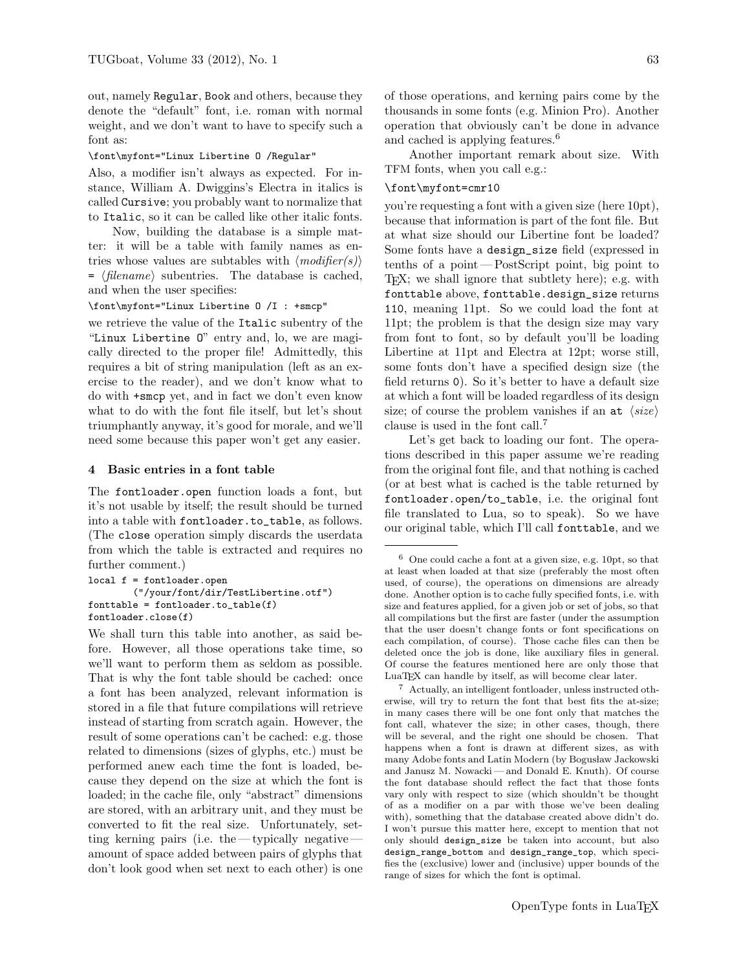out, namely Regular, Book and others, because they denote the "default" font, i.e. roman with normal weight, and we don't want to have to specify such a font as:

#### \font\myfont="Linux Libertine O /Regular"

Also, a modifier isn't always as expected. For instance, William A. Dwiggins's Electra in italics is called Cursive; you probably want to normalize that to Italic, so it can be called like other italic fonts.

Now, building the database is a simple matter: it will be a table with family names as entries whose values are subtables with  $\langle \textit{modifier(s)} \rangle$  $= \langle filename \rangle$  subentries. The database is cached, and when the user specifies:

### \font\myfont="Linux Libertine O /I : +smcp"

we retrieve the value of the Italic subentry of the "Linux Libertine O" entry and, lo, we are magically directed to the proper file! Admittedly, this requires a bit of string manipulation (left as an exercise to the reader), and we don't know what to do with +smcp yet, and in fact we don't even know what to do with the font file itself, but let's shout triumphantly anyway, it's good for morale, and we'll need some because this paper won't get any easier.

#### 4 Basic entries in a font table

The fontloader.open function loads a font, but it's not usable by itself; the result should be turned into a table with fontloader.to\_table, as follows. (The close operation simply discards the userdata from which the table is extracted and requires no further comment.)

```
local f = fontloader.open
        ("/your/font/dir/TestLibertine.otf")
fonttable = fontloader.to_table(f)fontloader.close(f)
```
We shall turn this table into another, as said before. However, all those operations take time, so we'll want to perform them as seldom as possible. That is why the font table should be cached: once a font has been analyzed, relevant information is stored in a file that future compilations will retrieve instead of starting from scratch again. However, the result of some operations can't be cached: e.g. those related to dimensions (sizes of glyphs, etc.) must be performed anew each time the font is loaded, because they depend on the size at which the font is loaded; in the cache file, only "abstract" dimensions are stored, with an arbitrary unit, and they must be converted to fit the real size. Unfortunately, setting kerning pairs (i.e. the— typically negative amount of space added between pairs of glyphs that don't look good when set next to each other) is one

of those operations, and kerning pairs come by the thousands in some fonts (e.g. Minion Pro). Another operation that obviously can't be done in advance and cached is applying features.<sup>6</sup>

Another important remark about size. With TFM fonts, when you call e.g.:

### \font\myfont=cmr10

you're requesting a font with a given size (here 10pt), because that information is part of the font file. But at what size should our Libertine font be loaded? Some fonts have a design\_size field (expressed in tenths of a point— PostScript point, big point to TEX; we shall ignore that subtlety here); e.g. with fonttable above, fonttable.design\_size returns 110, meaning 11pt. So we could load the font at 11pt; the problem is that the design size may vary from font to font, so by default you'll be loading Libertine at 11pt and Electra at 12pt; worse still, some fonts don't have a specified design size (the field returns 0). So it's better to have a default size at which a font will be loaded regardless of its design size; of course the problem vanishes if an at  $\langle size \rangle$ clause is used in the font call.<sup>7</sup>

Let's get back to loading our font. The operations described in this paper assume we're reading from the original font file, and that nothing is cached (or at best what is cached is the table returned by fontloader.open/to\_table, i.e. the original font file translated to Lua, so to speak). So we have our original table, which I'll call fonttable, and we

<sup>7</sup> Actually, an intelligent fontloader, unless instructed otherwise, will try to return the font that best fits the at-size; in many cases there will be one font only that matches the font call, whatever the size; in other cases, though, there will be several, and the right one should be chosen. That happens when a font is drawn at different sizes, as with many Adobe fonts and Latin Modern (by Bogusław Jackowski and Janusz M. Nowacki— and Donald E. Knuth). Of course the font database should reflect the fact that those fonts vary only with respect to size (which shouldn't be thought of as a modifier on a par with those we've been dealing with), something that the database created above didn't do. I won't pursue this matter here, except to mention that not only should design\_size be taken into account, but also design\_range\_bottom and design\_range\_top, which specifies the (exclusive) lower and (inclusive) upper bounds of the range of sizes for which the font is optimal.

<sup>6</sup> One could cache a font at a given size, e.g. 10pt, so that at least when loaded at that size (preferably the most often used, of course), the operations on dimensions are already done. Another option is to cache fully specified fonts, i.e. with size and features applied, for a given job or set of jobs, so that all compilations but the first are faster (under the assumption that the user doesn't change fonts or font specifications on each compilation, of course). Those cache files can then be deleted once the job is done, like auxiliary files in general. Of course the features mentioned here are only those that LuaT<sub>EX</sub> can handle by itself, as will become clear later.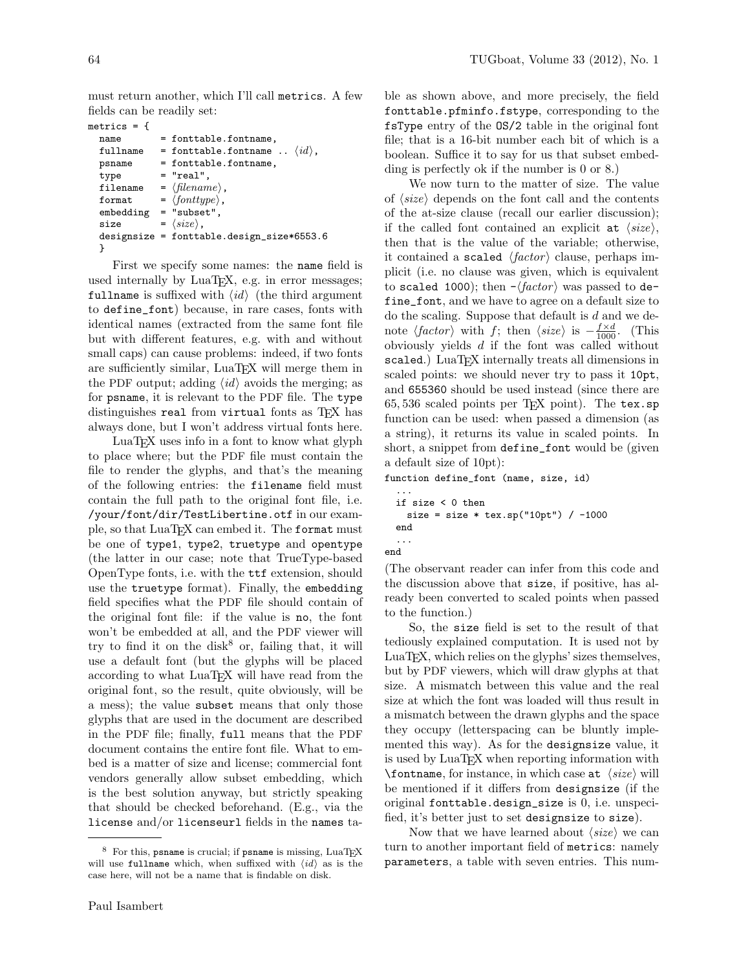must return another, which I'll call metrics. A few fields can be readily set:

```
metrics = {
  name = fonttable.fontname,
  fullname = fonttable.fontname .. \langle id \rangle,<br>psname = fonttable.fontname.
                = fonttable.fontname,
  type = "real",filename = \langle filename \rangle,
  format = \langle fonttype\rangle,
  embedding = "subset",
  size = \langle size \rangle,
  designsize = fonttable.design_size*6553.6
  }
```
First we specify some names: the name field is used internally by LuaT<sub>E</sub>X, e.g. in error messages; fullname is suffixed with  $\langle id \rangle$  (the third argument to define\_font) because, in rare cases, fonts with identical names (extracted from the same font file but with different features, e.g. with and without small caps) can cause problems: indeed, if two fonts are sufficiently similar, LuaT<sub>EX</sub> will merge them in the PDF output; adding  $\langle id \rangle$  avoids the merging; as for psname, it is relevant to the PDF file. The type distinguishes real from virtual fonts as TFX has always done, but I won't address virtual fonts here.

LuaTEX uses info in a font to know what glyph to place where; but the PDF file must contain the file to render the glyphs, and that's the meaning of the following entries: the filename field must contain the full path to the original font file, i.e. /your/font/dir/TestLibertine.otf in our example, so that LuaT<sub>EX</sub> can embed it. The format must be one of type1, type2, truetype and opentype (the latter in our case; note that TrueType-based OpenType fonts, i.e. with the ttf extension, should use the truetype format). Finally, the embedding field specifies what the PDF file should contain of the original font file: if the value is no, the font won't be embedded at all, and the PDF viewer will try to find it on the disk $8$  or, failing that, it will use a default font (but the glyphs will be placed according to what LuaT<sub>EX</sub> will have read from the original font, so the result, quite obviously, will be a mess); the value subset means that only those glyphs that are used in the document are described in the PDF file; finally, full means that the PDF document contains the entire font file. What to embed is a matter of size and license; commercial font vendors generally allow subset embedding, which is the best solution anyway, but strictly speaking that should be checked beforehand. (E.g., via the license and/or licenseurl fields in the names table as shown above, and more precisely, the field fonttable.pfminfo.fstype, corresponding to the fsType entry of the OS/2 table in the original font file; that is a 16-bit number each bit of which is a boolean. Suffice it to say for us that subset embedding is perfectly ok if the number is 0 or 8.)

We now turn to the matter of size. The value of  $\langle size \rangle$  depends on the font call and the contents of the at-size clause (recall our earlier discussion); if the called font contained an explicit at  $\langle size \rangle$ , then that is the value of the variable; otherwise, it contained a scaled  $\langle factor \rangle$  clause, perhaps implicit (i.e. no clause was given, which is equivalent to scaled 1000); then  $-\langle factor \rangle$  was passed to define\_font, and we have to agree on a default size to do the scaling. Suppose that default is  $d$  and we denote  $\langle factor \rangle$  with f; then  $\langle size \rangle$  is  $-\frac{f \times d}{1000}$ . (This obviously yields d if the font was called without scaled.) LuaTEX internally treats all dimensions in scaled points: we should never try to pass it 10pt, and 655360 should be used instead (since there are  $65,536$  scaled points per T<sub>E</sub>X point). The tex.sp function can be used: when passed a dimension (as a string), it returns its value in scaled points. In short, a snippet from define\_font would be (given a default size of 10pt):

function define\_font (name, size, id)

```
...
 if size < 0 then
   size = size * tex(sp("10pt") / -1000end
  ...
end
```
(The observant reader can infer from this code and the discussion above that size, if positive, has already been converted to scaled points when passed to the function.)

So, the size field is set to the result of that tediously explained computation. It is used not by LuaT<sub>E</sub>X, which relies on the glyphs' sizes themselves, but by PDF viewers, which will draw glyphs at that size. A mismatch between this value and the real size at which the font was loaded will thus result in a mismatch between the drawn glyphs and the space they occupy (letterspacing can be bluntly implemented this way). As for the designsize value, it is used by LuaTEX when reporting information with \fontname, for instance, in which case at  $\langle size \rangle$  will be mentioned if it differs from designsize (if the original fonttable.design\_size is 0, i.e. unspecified, it's better just to set designsize to size).

Now that we have learned about  $\langle size \rangle$  we can turn to another important field of metrics: namely parameters, a table with seven entries. This num-

<sup>8</sup> For this, psname is crucial; if psname is missing, LuaTEX will use fullname which, when suffixed with  $\langle id \rangle$  as is the case here, will not be a name that is findable on disk.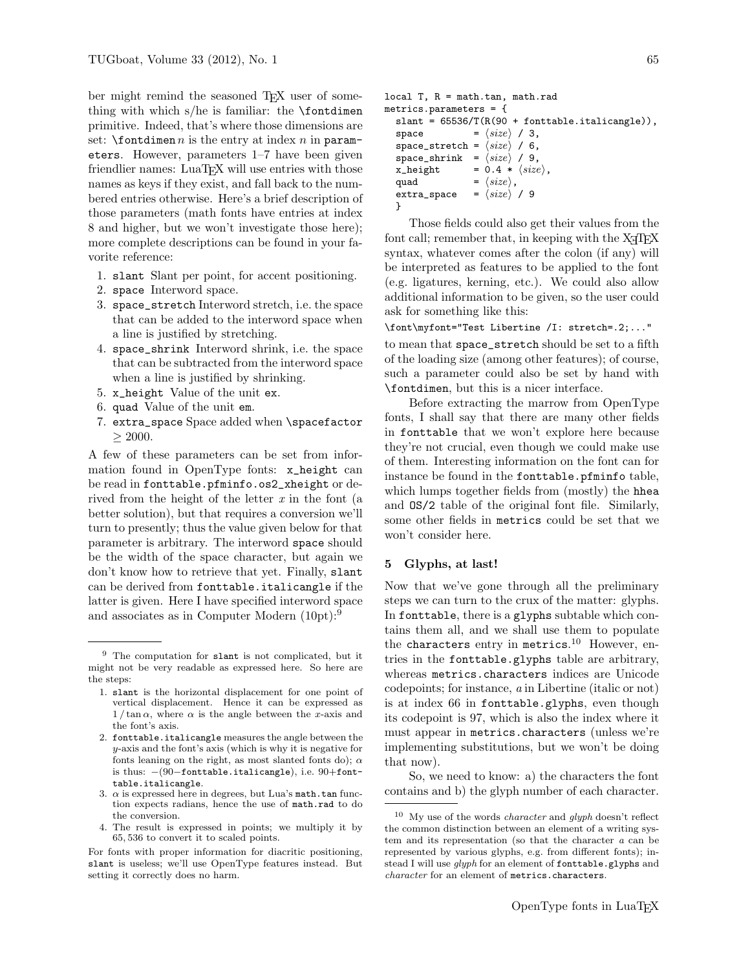ber might remind the seasoned TEX user of something with which  $s/he$  is familiar: the  $\forall$ fontdimen primitive. Indeed, that's where those dimensions are set:  $\forall$  fontdimen *n* is the entry at index *n* in parameters. However, parameters 1–7 have been given friendlier names: LuaT<sub>EX</sub> will use entries with those names as keys if they exist, and fall back to the numbered entries otherwise. Here's a brief description of those parameters (math fonts have entries at index 8 and higher, but we won't investigate those here); more complete descriptions can be found in your favorite reference:

- 1. slant Slant per point, for accent positioning.
- 2. space Interword space.
- 3. space\_stretch Interword stretch, i.e. the space that can be added to the interword space when a line is justified by stretching.
- 4. space\_shrink Interword shrink, i.e. the space that can be subtracted from the interword space when a line is justified by shrinking.
- 5. x\_height Value of the unit ex.
- 6. quad Value of the unit em.
- 7. extra\_space Space added when \spacefactor  $\geq 2000$ .

A few of these parameters can be set from information found in OpenType fonts: x\_height can be read in fonttable.pfminfo.os2\_xheight or derived from the height of the letter  $x$  in the font (a better solution), but that requires a conversion we'll turn to presently; thus the value given below for that parameter is arbitrary. The interword space should be the width of the space character, but again we don't know how to retrieve that yet. Finally, slant can be derived from fonttable.italicangle if the latter is given. Here I have specified interword space and associates as in Computer Modern (10pt):<sup>9</sup>

For fonts with proper information for diacritic positioning, slant is useless; we'll use OpenType features instead. But setting it correctly does no harm.

```
local T, R = math.tan, math.rad
metrics.parameters = {
  slant = 65536/T(R(90 + fonttable.italicangle)),space = \langle size \rangle / 3,
  space_stretch = \langle size \rangle / 6,
  space_shrink = \langle size \rangle / 9,
  x_{\text{height}} = 0.4 * \langle size \rangle,quad = \langle size \rangle,
  extra_space = \langle size \rangle / 9
  }
```
Those fields could also get their values from the font call; remember that, in keeping with the  $X \n\exists F X$ syntax, whatever comes after the colon (if any) will be interpreted as features to be applied to the font (e.g. ligatures, kerning, etc.). We could also allow additional information to be given, so the user could ask for something like this:

```
\font\myfont="Test Libertine /I: stretch=.2;..."
```
to mean that space\_stretch should be set to a fifth of the loading size (among other features); of course, such a parameter could also be set by hand with \fontdimen, but this is a nicer interface.

Before extracting the marrow from OpenType fonts, I shall say that there are many other fields in fonttable that we won't explore here because they're not crucial, even though we could make use of them. Interesting information on the font can for instance be found in the fonttable.pfminfo table, which lumps together fields from (mostly) the hhea and OS/2 table of the original font file. Similarly, some other fields in metrics could be set that we won't consider here.

#### 5 Glyphs, at last!

Now that we've gone through all the preliminary steps we can turn to the crux of the matter: glyphs. In fonttable, there is a glyphs subtable which contains them all, and we shall use them to populate the characters entry in metrics.<sup>10</sup> However, entries in the fonttable.glyphs table are arbitrary, whereas metrics.characters indices are Unicode codepoints; for instance, a in Libertine (italic or not) is at index 66 in fonttable.glyphs, even though its codepoint is 97, which is also the index where it must appear in metrics.characters (unless we're implementing substitutions, but we won't be doing that now).

So, we need to know: a) the characters the font contains and b) the glyph number of each character.

 $9$  The computation for slant is not complicated, but it might not be very readable as expressed here. So here are the steps:

<sup>1.</sup> slant is the horizontal displacement for one point of vertical displacement. Hence it can be expressed as  $1 / \tan \alpha$ , where  $\alpha$  is the angle between the x-axis and the font's axis.

<sup>2.</sup> fonttable.italicangle measures the angle between the y-axis and the font's axis (which is why it is negative for fonts leaning on the right, as most slanted fonts do);  $\alpha$ is thus: −(90−fonttable.italicangle), i.e. 90+fonttable.italicangle.

<sup>3.</sup>  $\alpha$  is expressed here in degrees, but Lua's math.tan function expects radians, hence the use of math.rad to do the conversion.

<sup>4.</sup> The result is expressed in points; we multiply it by 65, 536 to convert it to scaled points.

 $10$  My use of the words *character* and *glyph* doesn't reflect the common distinction between an element of a writing system and its representation (so that the character a can be represented by various glyphs, e.g. from different fonts); instead I will use *qlyph* for an element of fonttable.glyphs and character for an element of metrics.characters.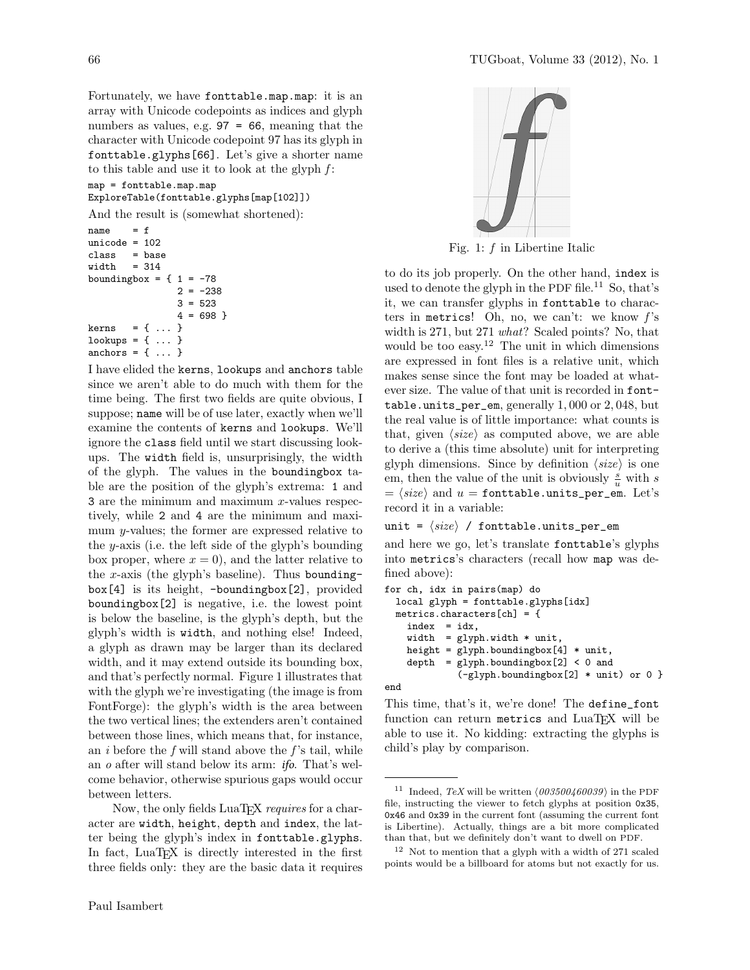Fortunately, we have fonttable.map.map: it is an array with Unicode codepoints as indices and glyph numbers as values, e.g. 97 = 66, meaning that the character with Unicode codepoint 97 has its glyph in fonttable.glyphs[66]. Let's give a shorter name to this table and use it to look at the glyph  $f$ :

map = fonttable.map.map

ExploreTable(fonttable.glyphs[map[102]])

And the result is (somewhat shortened):

```
name = funicode = 102
class = base
width = 314boundingbox = \{ 1 = -782 = -2383 = 523
                4 = 698}
kerns = { ... }lookups = \{ \ldots \}anchors = \{ \ldots \}
```
I have elided the kerns, lookups and anchors table since we aren't able to do much with them for the time being. The first two fields are quite obvious, I suppose; name will be of use later, exactly when we'll examine the contents of kerns and lookups. We'll ignore the class field until we start discussing lookups. The width field is, unsurprisingly, the width of the glyph. The values in the boundingbox table are the position of the glyph's extrema: 1 and 3 are the minimum and maximum x-values respectively, while 2 and 4 are the minimum and maximum y-values; the former are expressed relative to the y-axis (i.e. the left side of the glyph's bounding box proper, where  $x = 0$ , and the latter relative to the x-axis (the glyph's baseline). Thus boundingbox[4] is its height, -boundingbox[2], provided boundingbox[2] is negative, i.e. the lowest point is below the baseline, is the glyph's depth, but the glyph's width is width, and nothing else! Indeed, a glyph as drawn may be larger than its declared width, and it may extend outside its bounding box, and that's perfectly normal. Figure 1 illustrates that with the glyph we're investigating (the image is from FontForge): the glyph's width is the area between the two vertical lines; the extenders aren't contained between those lines, which means that, for instance, an  $i$  before the  $f$  will stand above the  $f$ 's tail, while an o after will stand below its arm: ifo. That's welcome behavior, otherwise spurious gaps would occur between letters.

Now, the only fields LuaT<sub>E</sub>X requires for a character are width, height, depth and index, the latter being the glyph's index in fonttable.glyphs. In fact, LuaT<sub>EX</sub> is directly interested in the first three fields only: they are the basic data it requires



Fig. 1:  $f$  in Libertine Italic

to do its job properly. On the other hand, index is used to denote the glyph in the PDF file.<sup>11</sup> So, that's it, we can transfer glyphs in fonttable to characters in metrics! Oh, no, we can't: we know  $f$ 's width is 271, but 271 *what*? Scaled points? No, that would be too easy.<sup>12</sup> The unit in which dimensions are expressed in font files is a relative unit, which makes sense since the font may be loaded at whatever size. The value of that unit is recorded in fonttable.units\_per\_em, generally 1, 000 or 2, 048, but the real value is of little importance: what counts is that, given  $\langle size \rangle$  as computed above, we are able to derive a (this time absolute) unit for interpreting glyph dimensions. Since by definition  $\langle size \rangle$  is one em, then the value of the unit is obviously  $\frac{s}{u}$  with s  $= \langle size \rangle$  and  $u =$  fonttable.units\_per\_em. Let's record it in a variable:

unit =  $\langle size \rangle$  / fonttable.units\_per\_em

and here we go, let's translate fonttable's glyphs into metrics's characters (recall how map was defined above):

```
for ch, idx in pairs(map) do
 local glyph = fonttable.glyphs[idx]
 metrics.characters[ch] = {
    index = idx,
   width = glyph.width * unit,
   height = glyph.boundingbox[4] * unit,depth = glyph.boundingbox[2] < 0 and
             (-glyph.boundingbox[2] * unit) or 0 }
```


This time, that's it, we're done! The define\_font function can return metrics and LuaTEX will be able to use it. No kidding: extracting the glyphs is child's play by comparison.

<sup>&</sup>lt;sup>11</sup> Indeed, TeX will be written  $(003500460039)$  in the PDF file, instructing the viewer to fetch glyphs at position 0x35, 0x46 and 0x39 in the current font (assuming the current font is Libertine). Actually, things are a bit more complicated than that, but we definitely don't want to dwell on PDF.

<sup>12</sup> Not to mention that a glyph with a width of 271 scaled points would be a billboard for atoms but not exactly for us.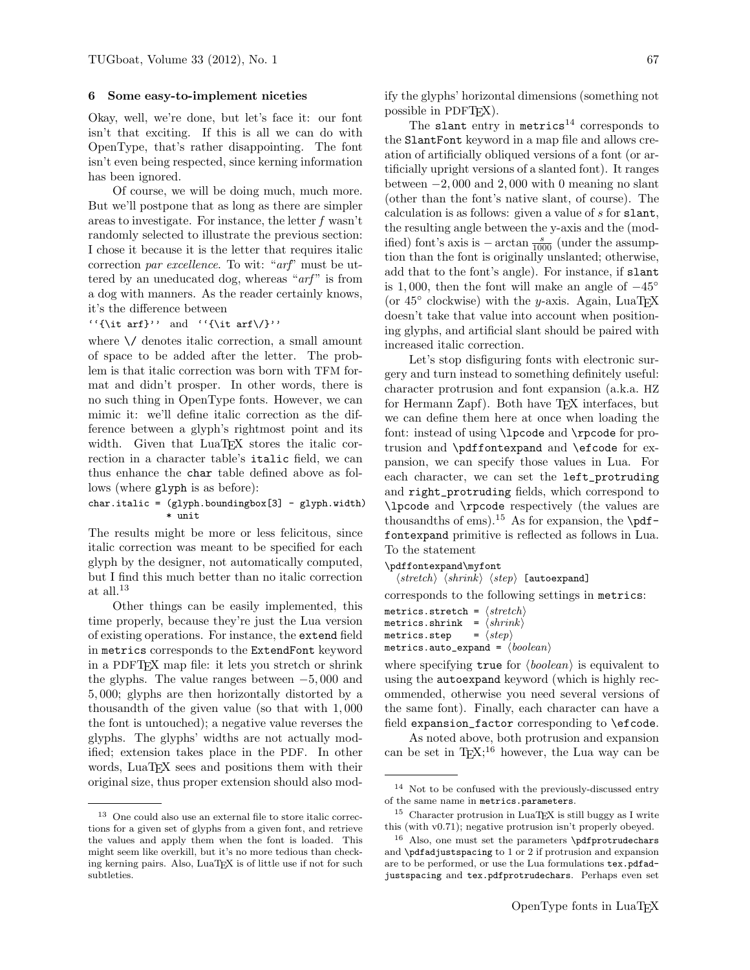#### Some easy-to-implement niceties

Okay, well, we're done, but let's face it: our font isn't that exciting. If this is all we can do with OpenType, that's rather disappointing. The font isn't even being respected, since kerning information has been ignored.

Of course, we will be doing much, much more. But we'll postpone that as long as there are simpler areas to investigate. For instance, the letter f wasn't randomly selected to illustrate the previous section: I chose it because it is the letter that requires italic correction par excellence. To wit: "arf" must be uttered by an uneducated dog, whereas " $arf$ " is from a dog with manners. As the reader certainly knows, it's the difference between

''{\it arf}'' and ''{\it arf\/}''

where  $\setminus$  denotes italic correction, a small amount of space to be added after the letter. The problem is that italic correction was born with TFM format and didn't prosper. In other words, there is no such thing in OpenType fonts. However, we can mimic it: we'll define italic correction as the difference between a glyph's rightmost point and its width. Given that LuaTEX stores the italic correction in a character table's italic field, we can thus enhance the char table defined above as follows (where glyph is as before):

# char.italic = (glyph.boundingbox[3] - glyph.width) \* unit

The results might be more or less felicitous, since italic correction was meant to be specified for each glyph by the designer, not automatically computed, but I find this much better than no italic correction at all.<sup>13</sup>

Other things can be easily implemented, this time properly, because they're just the Lua version of existing operations. For instance, the extend field in metrics corresponds to the ExtendFont keyword in a PDFTEX map file: it lets you stretch or shrink the glyphs. The value ranges between −5, 000 and 5, 000; glyphs are then horizontally distorted by a thousandth of the given value (so that with 1, 000 the font is untouched); a negative value reverses the glyphs. The glyphs' widths are not actually modified; extension takes place in the PDF. In other words, LuaTEX sees and positions them with their original size, thus proper extension should also modify the glyphs' horizontal dimensions (something not possible in PDFT<sub>FX</sub>).

The slant entry in metrics<sup>14</sup> corresponds to the SlantFont keyword in a map file and allows creation of artificially obliqued versions of a font (or artificially upright versions of a slanted font). It ranges between  $-2,000$  and 2,000 with 0 meaning no slant (other than the font's native slant, of course). The calculation is as follows: given a value of s for slant, the resulting angle between the y-axis and the (modified) font's axis is  $-\arctan \frac{s}{1000}$  (under the assumption than the font is originally unslanted; otherwise, add that to the font's angle). For instance, if slant is 1,000, then the font will make an angle of  $-45^\circ$ (or  $45^{\circ}$  clockwise) with the y-axis. Again, LuaTEX doesn't take that value into account when positioning glyphs, and artificial slant should be paired with increased italic correction.

Let's stop disfiguring fonts with electronic surgery and turn instead to something definitely useful: character protrusion and font expansion (a.k.a. HZ for Hermann Zapf). Both have TEX interfaces, but we can define them here at once when loading the font: instead of using \lpcode and \rpcode for protrusion and \pdffontexpand and \efcode for expansion, we can specify those values in Lua. For each character, we can set the left\_protruding and right\_protruding fields, which correspond to \lpcode and \rpcode respectively (the values are thousandths of ems).<sup>15</sup> As for expansion, the  $\pdf$ fontexpand primitive is reflected as follows in Lua. To the statement

\pdffontexpand\myfont

 $\langle stretch \rangle$   $\langle shrink \rangle$   $\langle step \rangle$  [autoexpand]

corresponds to the following settings in metrics:

metrics.stretch =  $\langle stretch \rangle$ metrics.shrink =  $\langle shrink \rangle$ <br>metrics.step =  $\langle step \rangle$ metrics.step metrics.auto\_expand =  $\langle boolean \rangle$ 

where specifying true for  $\langle boolean \rangle$  is equivalent to using the autoexpand keyword (which is highly recommended, otherwise you need several versions of the same font). Finally, each character can have a field expansion\_factor corresponding to \efcode.

As noted above, both protrusion and expansion can be set in  $T_F X$ ;<sup>16</sup> however, the Lua way can be

<sup>13</sup> One could also use an external file to store italic corrections for a given set of glyphs from a given font, and retrieve the values and apply them when the font is loaded. This might seem like overkill, but it's no more tedious than checking kerning pairs. Also, LuaTEX is of little use if not for such subtleties.

<sup>14</sup> Not to be confused with the previously-discussed entry of the same name in metrics.parameters.

 $15$  Character protrusion in LuaT<sub>E</sub>X is still buggy as I write this (with v0.71); negative protrusion isn't properly obeyed.

<sup>16</sup> Also, one must set the parameters \pdfprotrudechars and \pdfadjustspacing to 1 or 2 if protrusion and expansion are to be performed, or use the Lua formulations tex.pdfadjustspacing and tex.pdfprotrudechars. Perhaps even set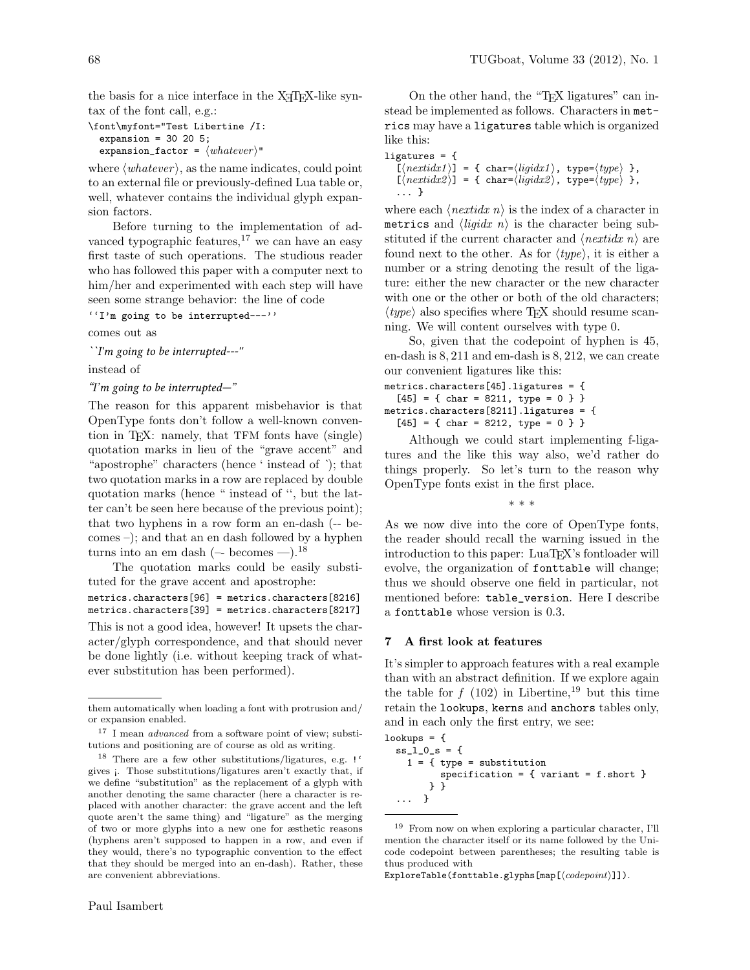the basis for a nice interface in the X<sub>T</sub>T<sub>E</sub>X-like syntax of the font call, e.g.:

```
\font\myfont="Test Libertine /I:
  expansion = 30 20 5;
  expansion_factor = \langle whatever \rangle"
```
where  $\langle whatever \rangle$ , as the name indicates, could point to an external file or previously-defined Lua table or, well, whatever contains the individual glyph expansion factors.

Before turning to the implementation of advanced typographic features, $17$  we can have an easy first taste of such operations. The studious reader who has followed this paper with a computer next to him/her and experimented with each step will have seen some strange behavior: the line of code

''I'm going to be interrupted---''

comes out as

``I'm going to be interrupted---''

instead of

#### "I'm going to be interrupted—"

The reason for this apparent misbehavior is that OpenType fonts don't follow a well-known convention in TEX: namely, that TFM fonts have (single) quotation marks in lieu of the "grave accent" and "apostrophe" characters (hence ' instead of `); that two quotation marks in a row are replaced by double quotation marks (hence " instead of '', but the latter can't be seen here because of the previous point); that two hyphens in a row form an en-dash (-- becomes –); and that an en dash followed by a hyphen turns into an em dash ( $-$  becomes  $-$ ).<sup>18</sup>

The quotation marks could be easily substituted for the grave accent and apostrophe:

metrics.characters[96] = metrics.characters[8216] metrics.characters[39] = metrics.characters[8217]

This is not a good idea, however! It upsets the character/glyph correspondence, and that should never be done lightly (i.e. without keeping track of whatever substitution has been performed).

On the other hand, the "TEX ligatures" can instead be implemented as follows. Characters in metrics may have a ligatures table which is organized like this:

```
ligatures = {
```

```
\tilde{I}(nextidx1)] = { char=\langle ligidx1 \rangle, type=\langle type \rangle },
[\langle \textit{nextidx2} \rangle] = {\{ \text{char}=\langle \textit{ligidx2} \rangle, \text{type}=\langle \textit{type} \rangle \}}... }
```
where each  $\langle \text{nextidx } n \rangle$  is the index of a character in metrics and  $\langle liquidx \; n \rangle$  is the character being substituted if the current character and  $\langle nextidx\ n\rangle$  are found next to the other. As for  $\langle type \rangle$ , it is either a number or a string denoting the result of the ligature: either the new character or the new character with one or the other or both of the old characters;  $\langle type \rangle$  also specifies where T<sub>EX</sub> should resume scanning. We will content ourselves with type 0.

So, given that the codepoint of hyphen is 45, en-dash is 8, 211 and em-dash is 8, 212, we can create our convenient ligatures like this:

metrics.characters[45].ligatures = {  $[45] = \{ char = 8211, type = 0 \}$ metrics.characters[8211].ligatures = {  $[45] = \{ char = 8212, type = 0 \}$ 

Although we could start implementing f-ligatures and the like this way also, we'd rather do things properly. So let's turn to the reason why OpenType fonts exist in the first place.

```
* * *
```
As we now dive into the core of OpenType fonts, the reader should recall the warning issued in the introduction to this paper: LuaT<sub>EX</sub>'s fontloader will evolve, the organization of fonttable will change; thus we should observe one field in particular, not mentioned before: table\_version. Here I describe a fonttable whose version is 0.3.

### 7 A first look at features

It's simpler to approach features with a real example than with an abstract definition. If we explore again the table for  $f(102)$  in Libertine,<sup>19</sup> but this time retain the lookups, kerns and anchors tables only, and in each only the first entry, we see:

```
lookus = fss_1_0_s = {
    1 = \{ type = substitutionspecification = { variant = f.short }
       } }
  ... }
```
ExploreTable(fonttable.glyphs[map[ $\langle codepoint \rangle]$ ]).

them automatically when loading a font with protrusion and/ or expansion enabled.

<sup>&</sup>lt;sup>17</sup> I mean *advanced* from a software point of view; substitutions and positioning are of course as old as writing.

<sup>18</sup> There are a few other substitutions/ligatures, e.g. !' gives ¡. Those substitutions/ligatures aren't exactly that, if we define "substitution" as the replacement of a glyph with another denoting the same character (here a character is replaced with another character: the grave accent and the left quote aren't the same thing) and "ligature" as the merging of two or more glyphs into a new one for æsthetic reasons (hyphens aren't supposed to happen in a row, and even if they would, there's no typographic convention to the effect that they should be merged into an en-dash). Rather, these are convenient abbreviations.

<sup>19</sup> From now on when exploring a particular character, I'll mention the character itself or its name followed by the Unicode codepoint between parentheses; the resulting table is thus produced with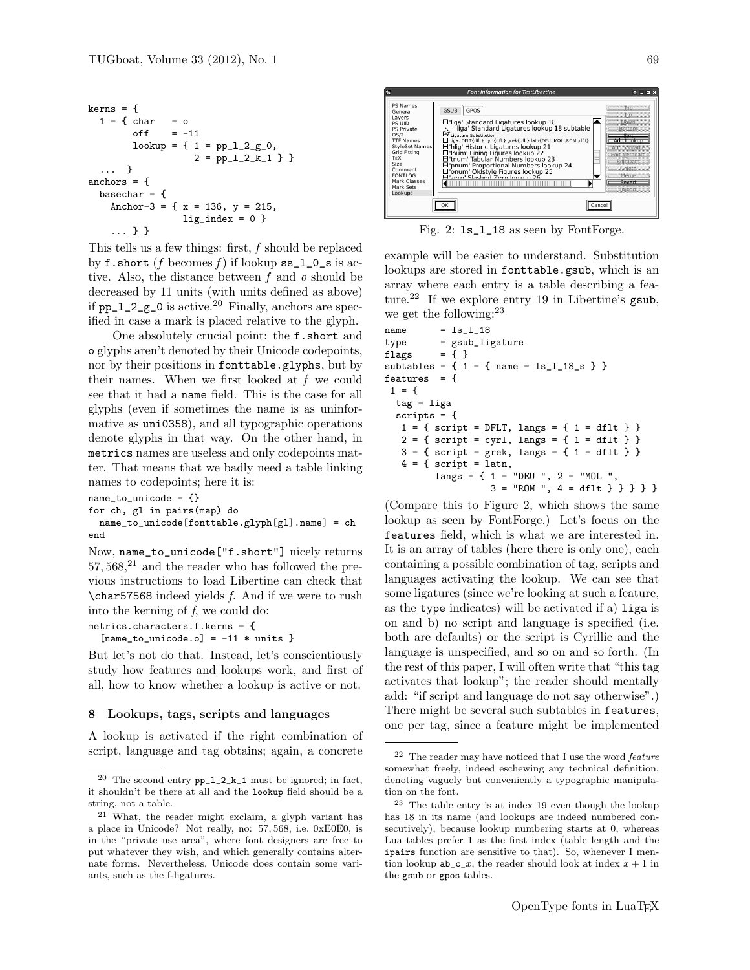```
kerns = {
 1 = \{ char = ooff = -11lookup = { 1 = pp_1_2_-g_0, }2 = pp_1_2_k_1 } }
  ... }
anchors = {
 basechar = \{Anchor-3 = {x = 136, y = 215,
                 lig\_index = 0}
    ... } }
```
This tells us a few things: first,  $f$  should be replaced by f.short (f becomes f) if lookup  $ss_l_l_0$  is active. Also, the distance between  $f$  and  $o$  should be decreased by 11 units (with units defined as above) if  $pp_1_2_g$  = 0 is active.<sup>20</sup> Finally, anchors are specified in case a mark is placed relative to the glyph.

One absolutely crucial point: the f.short and o glyphs aren't denoted by their Unicode codepoints, nor by their positions in fonttable.glyphs, but by their names. When we first looked at f we could see that it had a name field. This is the case for all glyphs (even if sometimes the name is as uninformative as uni0358), and all typographic operations denote glyphs in that way. On the other hand, in metrics names are useless and only codepoints matter. That means that we badly need a table linking names to codepoints; here it is:

name\_to\_unicode = {}

for ch, gl in pairs(map) do

name\_to\_unicode[fonttable.glyph[gl].name] = ch end

Now, name\_to\_unicode["f.short"] nicely returns  $57,568$ , $^{21}$  and the reader who has followed the previous instructions to load Libertine can check that  $\char`|{\text{char57568}}$  indeed yields f. And if we were to rush into the kerning of f, we could do:

metrics.characters.f.kerns = {

 $[name_to_$ unicode.o] =  $-11$  \* units }

But let's not do that. Instead, let's conscientiously study how features and lookups work, and first of all, how to know whether a lookup is active or not.

# 8 Lookups, tags, scripts and languages

A lookup is activated if the right combination of script, language and tag obtains; again, a concrete



Fig. 2: ls\_l\_18 as seen by FontForge.

example will be easier to understand. Substitution lookups are stored in fonttable.gsub, which is an array where each entry is a table describing a feature.<sup>22</sup> If we explore entry 19 in Libertine's gsub, we get the following:  $23$ 

```
name = <math>ls_11_8</math>type = gsub_ligature
flags = { }
subtables = \{ 1 = \{ name = ls_1_18_s \} \}features = {
 1 = \{tag = liga
  scripts = {
   1 = \{ \text{script} = \text{DFLT}, \text{langs} = \{ 1 = \text{dflt } \} \}2 = { \text{ script} = \text{cyr1, langs} = { 1 = \text{dflt}} }3 = \{ \text{script } = \text{grek}, \text{ langs } = \{ 1 = \text{dflt } \} \}4 = \{ script = latn,langs = { 1 = "DEU ", 2 = "MOL ",3 = "ROM", 4 = df1t } \} \}
```
(Compare this to Figure 2, which shows the same lookup as seen by FontForge.) Let's focus on the features field, which is what we are interested in. It is an array of tables (here there is only one), each containing a possible combination of tag, scripts and languages activating the lookup. We can see that some ligatures (since we're looking at such a feature, as the type indicates) will be activated if a) liga is on and b) no script and language is specified (i.e. both are defaults) or the script is Cyrillic and the language is unspecified, and so on and so forth. (In the rest of this paper, I will often write that "this tag activates that lookup"; the reader should mentally add: "if script and language do not say otherwise".) There might be several such subtables in features, one per tag, since a feature might be implemented

 $^{20}\,$  The second entry  $pp\_l\_2\_k\_1$  must be ignored; in fact, it shouldn't be there at all and the lookup field should be a string, not a table.

<sup>21</sup> What, the reader might exclaim, a glyph variant has a place in Unicode? Not really, no: 57, 568, i.e. 0xE0E0, is in the "private use area", where font designers are free to put whatever they wish, and which generally contains alternate forms. Nevertheless, Unicode does contain some variants, such as the f-ligatures.

 $22$  The reader may have noticed that I use the word *feature* somewhat freely, indeed eschewing any technical definition, denoting vaguely but conveniently a typographic manipulation on the font.

<sup>23</sup> The table entry is at index 19 even though the lookup has 18 in its name (and lookups are indeed numbered consecutively), because lookup numbering starts at 0, whereas Lua tables prefer 1 as the first index (table length and the ipairs function are sensitive to that). So, whenever I mention lookup  $ab_c_x$ , the reader should look at index  $x + 1$  in the gsub or gpos tables.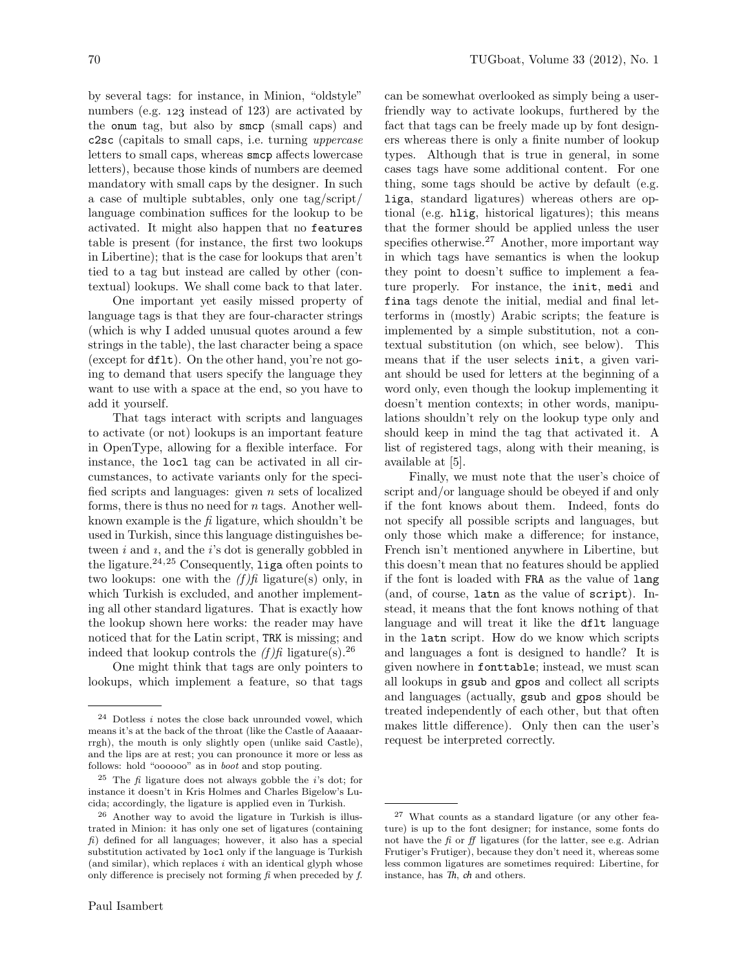by several tags: for instance, in Minion, "oldstyle" numbers (e.g. 123 instead of 123) are activated by the onum tag, but also by smcp (small caps) and c2sc (capitals to small caps, i.e. turning uppercase letters to small caps, whereas smcp affects lowercase letters), because those kinds of numbers are deemed mandatory with small caps by the designer. In such a case of multiple subtables, only one tag/script/ language combination suffices for the lookup to be activated. It might also happen that no features table is present (for instance, the first two lookups in Libertine); that is the case for lookups that aren't tied to a tag but instead are called by other (contextual) lookups. We shall come back to that later.

One important yet easily missed property of language tags is that they are four-character strings (which is why I added unusual quotes around a few strings in the table), the last character being a space (except for dflt). On the other hand, you're not going to demand that users specify the language they want to use with a space at the end, so you have to add it yourself.

That tags interact with scripts and languages to activate (or not) lookups is an important feature in OpenType, allowing for a flexible interface. For instance, the locl tag can be activated in all circumstances, to activate variants only for the specified scripts and languages: given n sets of localized forms, there is thus no need for n tags. Another wellknown example is the  $\hat{\mu}$  ligature, which shouldn't be used in Turkish, since this language distinguishes between  $i$  and  $i$ , and the  $i$ 's dot is generally gobbled in the ligature. $24,25$  Consequently, liga often points to two lookups: one with the  $(f)$ fi ligature(s) only, in which Turkish is excluded, and another implementing all other standard ligatures. That is exactly how the lookup shown here works: the reader may have noticed that for the Latin script, TRK is missing; and indeed that lookup controls the  $(f)$ fi ligature(s).<sup>26</sup>

One might think that tags are only pointers to lookups, which implement a feature, so that tags can be somewhat overlooked as simply being a userfriendly way to activate lookups, furthered by the fact that tags can be freely made up by font designers whereas there is only a finite number of lookup types. Although that is true in general, in some cases tags have some additional content. For one thing, some tags should be active by default (e.g. liga, standard ligatures) whereas others are optional (e.g. hlig, historical ligatures); this means that the former should be applied unless the user specifies otherwise.<sup>27</sup> Another, more important way in which tags have semantics is when the lookup they point to doesn't suffice to implement a feature properly. For instance, the init, medi and fina tags denote the initial, medial and final letterforms in (mostly) Arabic scripts; the feature is implemented by a simple substitution, not a contextual substitution (on which, see below). This means that if the user selects init, a given variant should be used for letters at the beginning of a word only, even though the lookup implementing it doesn't mention contexts; in other words, manipulations shouldn't rely on the lookup type only and should keep in mind the tag that activated it. A list of registered tags, along with their meaning, is available at [5].

Finally, we must note that the user's choice of script and/or language should be obeyed if and only if the font knows about them. Indeed, fonts do not specify all possible scripts and languages, but only those which make a difference; for instance, French isn't mentioned anywhere in Libertine, but this doesn't mean that no features should be applied if the font is loaded with FRA as the value of lang (and, of course, latn as the value of script). Instead, it means that the font knows nothing of that language and will treat it like the dflt language in the latn script. How do we know which scripts and languages a font is designed to handle? It is given nowhere in fonttable; instead, we must scan all lookups in gsub and gpos and collect all scripts and languages (actually, gsub and gpos should be treated independently of each other, but that often makes little difference). Only then can the user's request be interpreted correctly.

 $^{24}$  Dotless  $i$  notes the close back unrounded vowel, which means it's at the back of the throat (like the Castle of Aaaaarrrgh), the mouth is only slightly open (unlike said Castle), and the lips are at rest; you can pronounce it more or less as follows: hold "oooooo" as in boot and stop pouting.

<sup>&</sup>lt;sup>25</sup> The  $\hat{h}$  ligature does not always gobble the *i*'s dot; for instance it doesn't in Kris Holmes and Charles Bigelow's Lucida; accordingly, the ligature is applied even in Turkish.

<sup>26</sup> Another way to avoid the ligature in Turkish is illustrated in Minion: it has only one set of ligatures (containing  $f$ i) defined for all languages; however, it also has a special substitution activated by locl only if the language is Turkish (and similar), which replaces  $i$  with an identical glyph whose only difference is precisely not forming  $\hat{f}$  when preceded by  $\hat{f}$ .

<sup>27</sup> What counts as a standard ligature (or any other feature) is up to the font designer; for instance, some fonts do not have the  $f_i$  or  $f_j$  ligatures (for the latter, see e.g. Adrian Frutiger's Frutiger), because they don't need it, whereas some less common ligatures are sometimes required: Libertine, for instance, has  $Th$ ,  $ch$  and others.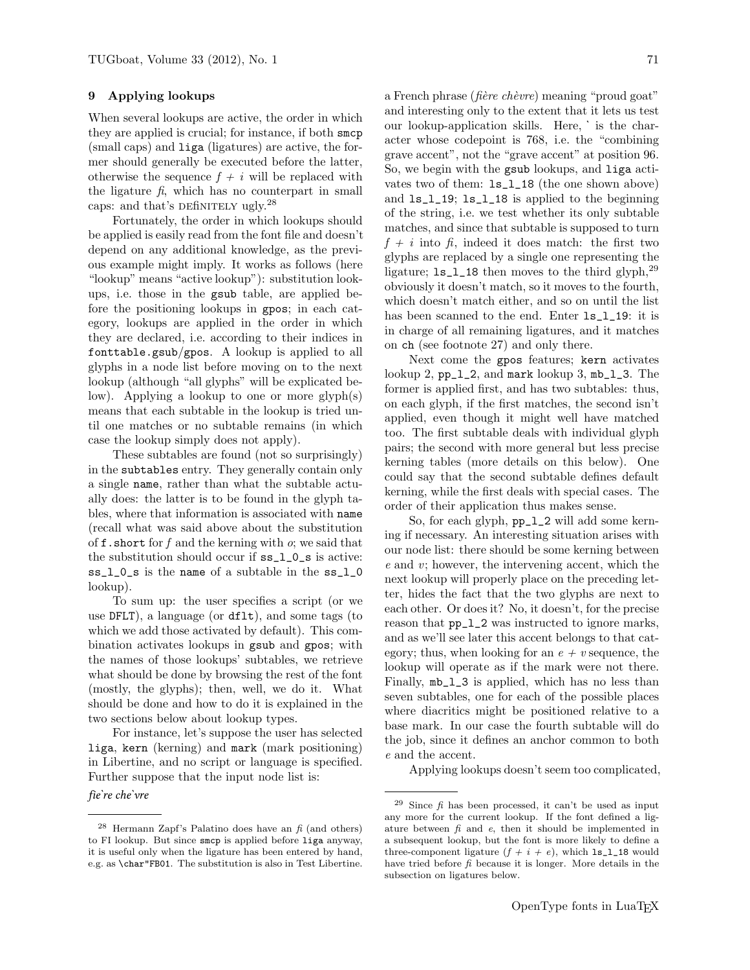#### 9 Applying lookups

When several lookups are active, the order in which they are applied is crucial; for instance, if both smcp (small caps) and liga (ligatures) are active, the former should generally be executed before the latter, otherwise the sequence  $f + i$  will be replaced with the ligature  $\hat{\mu}$ , which has no counterpart in small caps: and that's DEfiNITELY ugly.<sup>28</sup>

Fortunately, the order in which lookups should be applied is easily read from the font file and doesn't depend on any additional knowledge, as the previous example might imply. It works as follows (here "lookup" means "active lookup"): substitution lookups, i.e. those in the gsub table, are applied before the positioning lookups in gpos; in each category, lookups are applied in the order in which they are declared, i.e. according to their indices in fonttable.gsub/gpos. A lookup is applied to all glyphs in a node list before moving on to the next lookup (although "all glyphs" will be explicated below). Applying a lookup to one or more glyph(s) means that each subtable in the lookup is tried until one matches or no subtable remains (in which case the lookup simply does not apply).

These subtables are found (not so surprisingly) in the subtables entry. They generally contain only a single name, rather than what the subtable actually does: the latter is to be found in the glyph tables, where that information is associated with name (recall what was said above about the substitution of **f**. short for f and the kerning with  $o$ ; we said that the substitution should occur if ss\_l\_0\_s is active: ss\_l\_0\_s is the name of a subtable in the ss\_l\_0 lookup).

To sum up: the user specifies a script (or we use DFLT), a language (or dflt), and some tags (to which we add those activated by default). This combination activates lookups in gsub and gpos; with the names of those lookups' subtables, we retrieve what should be done by browsing the rest of the font (mostly, the glyphs); then, well, we do it. What should be done and how to do it is explained in the two sections below about lookup types.

For instance, let's suppose the user has selected liga, kern (kerning) and mark (mark positioning) in Libertine, and no script or language is specified. Further suppose that the input node list is:

fie're che'vre

a French phrase (*fière chèvre*) meaning "proud goat" and interesting only to the extent that it lets us test our lookup-application skills. Here, ̀ is the character whose codepoint is 768, i.e. the "combining grave accent", not the "grave accent" at position 96. So, we begin with the gsub lookups, and liga activates two of them: ls\_l\_18 (the one shown above) and ls\_l\_19; ls\_l\_18 is applied to the beginning of the string, i.e. we test whether its only subtable matches, and since that subtable is supposed to turn  $f + i$  into  $f_i$ , indeed it does match: the first two glyphs are replaced by a single one representing the ligature;  $ls_l_1_18$  then moves to the third glyph,  $29$ obviously it doesn't match, so it moves to the fourth, which doesn't match either, and so on until the list has been scanned to the end. Enter  $ls_l_1$  19: it is in charge of all remaining ligatures, and it matches on ch (see footnote 27) and only there.

Next come the gpos features; kern activates lookup 2, pp\_l\_2, and mark lookup 3, mb\_l\_3. The former is applied first, and has two subtables: thus, on each glyph, if the first matches, the second isn't applied, even though it might well have matched too. The first subtable deals with individual glyph pairs; the second with more general but less precise kerning tables (more details on this below). One could say that the second subtable defines default kerning, while the first deals with special cases. The order of their application thus makes sense.

So, for each glyph, pp\_l\_2 will add some kerning if necessary. An interesting situation arises with our node list: there should be some kerning between e and v; however, the intervening accent, which the next lookup will properly place on the preceding letter, hides the fact that the two glyphs are next to each other. Or does it? No, it doesn't, for the precise reason that pp\_l\_2 was instructed to ignore marks, and as we'll see later this accent belongs to that category; thus, when looking for an  $e + v$  sequence, the lookup will operate as if the mark were not there. Finally, mb\_l\_3 is applied, which has no less than seven subtables, one for each of the possible places where diacritics might be positioned relative to a base mark. In our case the fourth subtable will do the job, since it defines an anchor common to both e and the accent.

Applying lookups doesn't seem too complicated,

<sup>&</sup>lt;sup>28</sup> Hermann Zapf's Palatino does have an  $\hat{f}$  (and others) to fi lookup. But since smcp is applied before liga anyway, it is useful only when the ligature has been entered by hand, e.g. as \char"FB01. The substitution is also in Test Libertine.

 $29$  Since  $\hat{f}$  has been processed, it can't be used as input any more for the current lookup. If the font defined a ligature between  $f_i$  and  $e$ , then it should be implemented in a subsequent lookup, but the font is more likely to define a three-component ligature  $(f + i + e)$ , which  $ls_l_l_1$  would have tried before  $f_i$  because it is longer. More details in the subsection on ligatures below.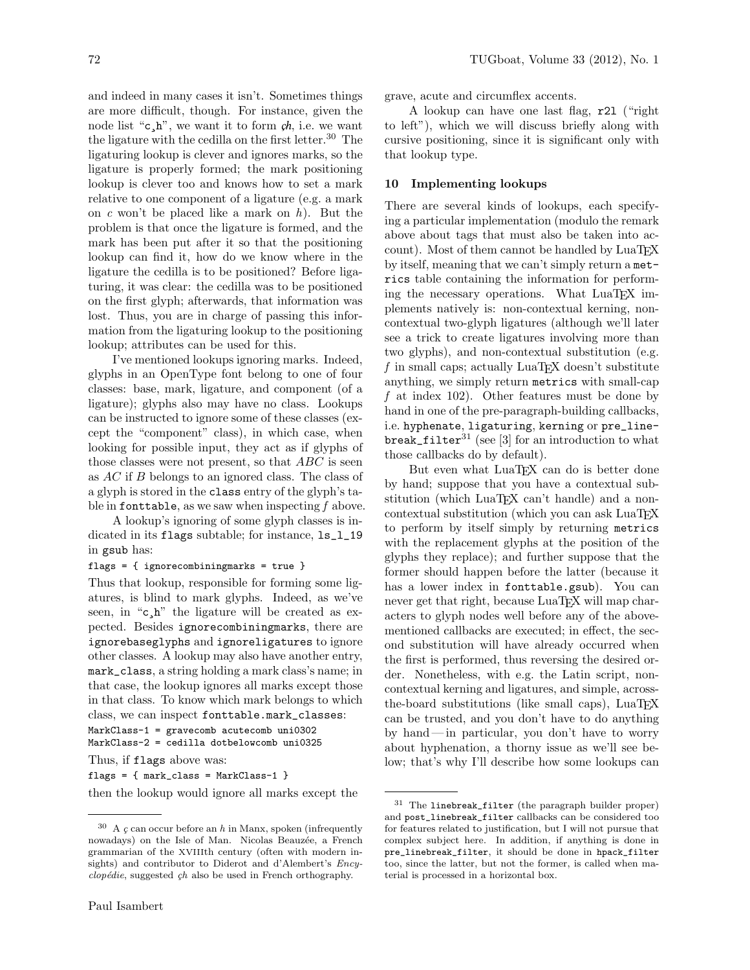and indeed in many cases it isn't. Sometimes things are more difficult, though. For instance, given the node list " $c, h$ ", we want it to form  $ch$ , i.e. we want the ligature with the cedilla on the first letter.<sup>30</sup> The ligaturing lookup is clever and ignores marks, so the ligature is properly formed; the mark positioning lookup is clever too and knows how to set a mark relative to one component of a ligature (e.g. a mark on c won't be placed like a mark on  $h$ ). But the problem is that once the ligature is formed, and the mark has been put after it so that the positioning lookup can find it, how do we know where in the ligature the cedilla is to be positioned? Before ligaturing, it was clear: the cedilla was to be positioned on the first glyph; afterwards, that information was lost. Thus, you are in charge of passing this information from the ligaturing lookup to the positioning lookup; attributes can be used for this.

I've mentioned lookups ignoring marks. Indeed, glyphs in an OpenType font belong to one of four classes: base, mark, ligature, and component (of a ligature); glyphs also may have no class. Lookups can be instructed to ignore some of these classes (except the "component" class), in which case, when looking for possible input, they act as if glyphs of those classes were not present, so that ABC is seen as AC if B belongs to an ignored class. The class of a glyph is stored in the class entry of the glyph's table in fonttable, as we saw when inspecting  $f$  above.

A lookup's ignoring of some glyph classes is indicated in its flags subtable; for instance,  $ls_l_1/19$ in gsub has:

#### flags = { ignorecombiningmarks = true }

Thus that lookup, responsible for forming some ligatures, is blind to mark glyphs. Indeed, as we've seen, in " $c, h$ " the ligature will be created as expected. Besides ignorecombiningmarks, there are ignorebaseglyphs and ignoreligatures to ignore other classes. A lookup may also have another entry, mark\_class, a string holding a mark class's name; in that case, the lookup ignores all marks except those in that class. To know which mark belongs to which class, we can inspect fonttable.mark\_classes:

MarkClass-1 = gravecomb acutecomb uni0302 MarkClass-2 = cedilla dotbelowcomb uni0325

Thus, if flags above was:

flags = { mark\_class = MarkClass-1 }

then the lookup would ignore all marks except the

grave, acute and circumflex accents.

A lookup can have one last flag, r2l ("right to left"), which we will discuss briefly along with cursive positioning, since it is significant only with that lookup type.

## 10 Implementing lookups

There are several kinds of lookups, each specifying a particular implementation (modulo the remark above about tags that must also be taken into account). Most of them cannot be handled by LuaTEX by itself, meaning that we can't simply return a metrics table containing the information for performing the necessary operations. What LuaT<sub>FX</sub> implements natively is: non-contextual kerning, noncontextual two-glyph ligatures (although we'll later see a trick to create ligatures involving more than two glyphs), and non-contextual substitution (e.g. f in small caps; actually  $\text{LuaT}$  $\text{EX}$  doesn't substitute anything, we simply return metrics with small-cap f at index 102). Other features must be done by hand in one of the pre-paragraph-building callbacks, i.e. hyphenate, ligaturing, kerning or pre\_linebreak\_filter<sup>31</sup> (see [3] for an introduction to what those callbacks do by default).

But even what LuaT<sub>EX</sub> can do is better done by hand; suppose that you have a contextual substitution (which LuaTEX can't handle) and a noncontextual substitution (which you can ask LuaT<sub>EX</sub> to perform by itself simply by returning metrics with the replacement glyphs at the position of the glyphs they replace); and further suppose that the former should happen before the latter (because it has a lower index in fonttable.gsub). You can never get that right, because LuaT<sub>EX</sub> will map characters to glyph nodes well before any of the abovementioned callbacks are executed; in effect, the second substitution will have already occurred when the first is performed, thus reversing the desired order. Nonetheless, with e.g. the Latin script, noncontextual kerning and ligatures, and simple, acrossthe-board substitutions (like small caps), LuaT<sub>E</sub>X can be trusted, and you don't have to do anything by hand — in particular, you don't have to worry about hyphenation, a thorny issue as we'll see below; that's why I'll describe how some lookups can

 $30$  A  $\varsigma$  can occur before an h in Manx, spoken (infrequently nowadays) on the Isle of Man. Nicolas Beauzée, a French grammarian of the XVIIIth century (often with modern insights) and contributor to Diderot and d'Alembert's Ency $clopédie$ , suggested  $çh$  also be used in French orthography.

<sup>31</sup> The linebreak\_filter (the paragraph builder proper) and post\_linebreak\_filter callbacks can be considered too for features related to justification, but I will not pursue that complex subject here. In addition, if anything is done in pre\_linebreak\_filter, it should be done in hpack\_filter too, since the latter, but not the former, is called when material is processed in a horizontal box.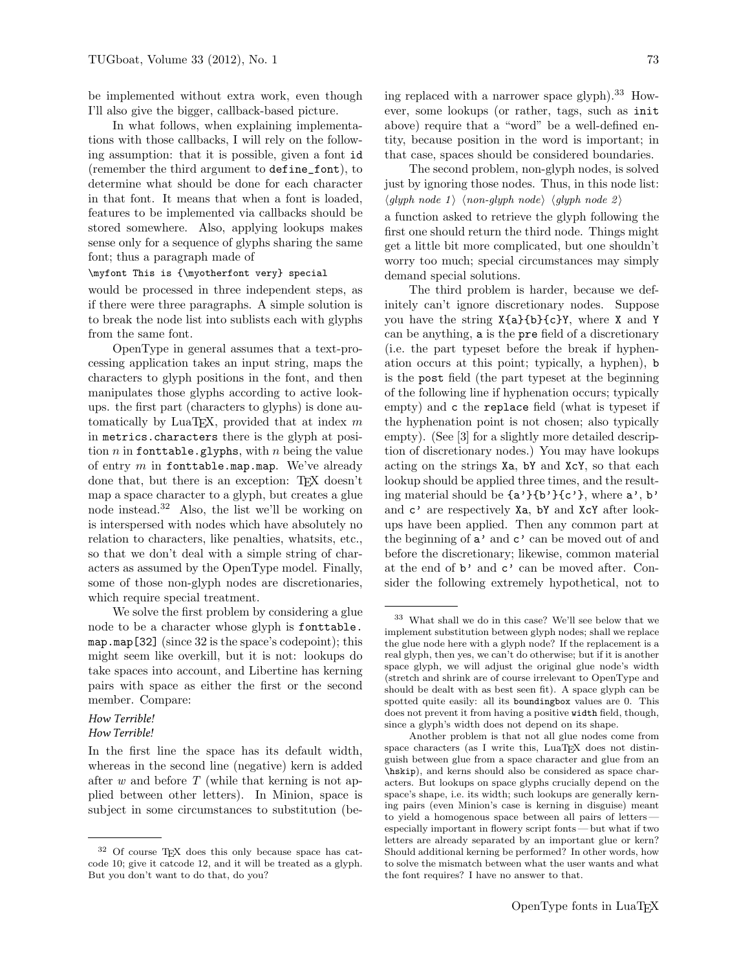be implemented without extra work, even though I'll also give the bigger, callback-based picture.

In what follows, when explaining implementations with those callbacks, I will rely on the following assumption: that it is possible, given a font id (remember the third argument to define\_font), to determine what should be done for each character in that font. It means that when a font is loaded, features to be implemented via callbacks should be stored somewhere. Also, applying lookups makes sense only for a sequence of glyphs sharing the same font; thus a paragraph made of

#### \myfont This is {\myotherfont very} special

would be processed in three independent steps, as if there were three paragraphs. A simple solution is to break the node list into sublists each with glyphs from the same font.

OpenType in general assumes that a text-processing application takes an input string, maps the characters to glyph positions in the font, and then manipulates those glyphs according to active lookups. the first part (characters to glyphs) is done automatically by LuaTEX, provided that at index  $m$ in metrics.characters there is the glyph at position  $n$  in fonttable.glyphs, with  $n$  being the value of entry  $m$  in fonttable.map.map. We've already done that, but there is an exception: T<sub>EX</sub> doesn't map a space character to a glyph, but creates a glue node instead.<sup>32</sup> Also, the list we'll be working on is interspersed with nodes which have absolutely no relation to characters, like penalties, whatsits, etc., so that we don't deal with a simple string of characters as assumed by the OpenType model. Finally, some of those non-glyph nodes are discretionaries, which require special treatment.

We solve the first problem by considering a glue node to be a character whose glyph is fonttable. map.map[32] (since 32 is the space's codepoint); this might seem like overkill, but it is not: lookups do take spaces into account, and Libertine has kerning pairs with space as either the first or the second member. Compare:

# How Terrible!

# How Terrible!

In the first line the space has its default width, whereas in the second line (negative) kern is added after  $w$  and before  $T$  (while that kerning is not applied between other letters). In Minion, space is subject in some circumstances to substitution (being replaced with a narrower space glyph $.33$  How-

ever, some lookups (or rather, tags, such as init above) require that a "word" be a well-defined entity, because position in the word is important; in that case, spaces should be considered boundaries.

The second problem, non-glyph nodes, is solved just by ignoring those nodes. Thus, in this node list:  $\langle$ glyph node 1 \ $\langle$  non-glyph node \endep \endep \endep \endep \endep \endep \endep \endep \endep \endep \endep \endep \endep \endep \endep \endep \endep \endep \endep \endep \endep \endep \endep \endep \endep \endep \ a function asked to retrieve the glyph following the first one should return the third node. Things might get a little bit more complicated, but one shouldn't worry too much; special circumstances may simply demand special solutions.

The third problem is harder, because we definitely can't ignore discretionary nodes. Suppose you have the string X{a}{b}{c}Y, where X and Y can be anything, a is the pre field of a discretionary (i.e. the part typeset before the break if hyphenation occurs at this point; typically, a hyphen), b is the post field (the part typeset at the beginning of the following line if hyphenation occurs; typically empty) and c the replace field (what is typeset if the hyphenation point is not chosen; also typically empty). (See [3] for a slightly more detailed description of discretionary nodes.) You may have lookups acting on the strings Xa, bY and XcY, so that each lookup should be applied three times, and the resulting material should be  $\{a'\}\{b'\}\{c'\}$ , where  $a', b'$ and c' are respectively Xa, bY and XcY after lookups have been applied. Then any common part at the beginning of  $a'$  and  $c'$  can be moved out of and before the discretionary; likewise, common material at the end of b' and c' can be moved after. Consider the following extremely hypothetical, not to

<sup>32</sup> Of course TEX does this only because space has catcode 10; give it catcode 12, and it will be treated as a glyph. But you don't want to do that, do you?

<sup>33</sup> What shall we do in this case? We'll see below that we implement substitution between glyph nodes; shall we replace the glue node here with a glyph node? If the replacement is a real glyph, then yes, we can't do otherwise; but if it is another space glyph, we will adjust the original glue node's width (stretch and shrink are of course irrelevant to OpenType and should be dealt with as best seen fit). A space glyph can be spotted quite easily: all its boundingbox values are 0. This does not prevent it from having a positive width field, though, since a glyph's width does not depend on its shape.

Another problem is that not all glue nodes come from space characters (as I write this, LuaTEX does not distinguish between glue from a space character and glue from an \hskip), and kerns should also be considered as space characters. But lookups on space glyphs crucially depend on the space's shape, i.e. its width; such lookups are generally kerning pairs (even Minion's case is kerning in disguise) meant to yield a homogenous space between all pairs of letters especially important in flowery script fonts — but what if two letters are already separated by an important glue or kern? Should additional kerning be performed? In other words, how to solve the mismatch between what the user wants and what the font requires? I have no answer to that.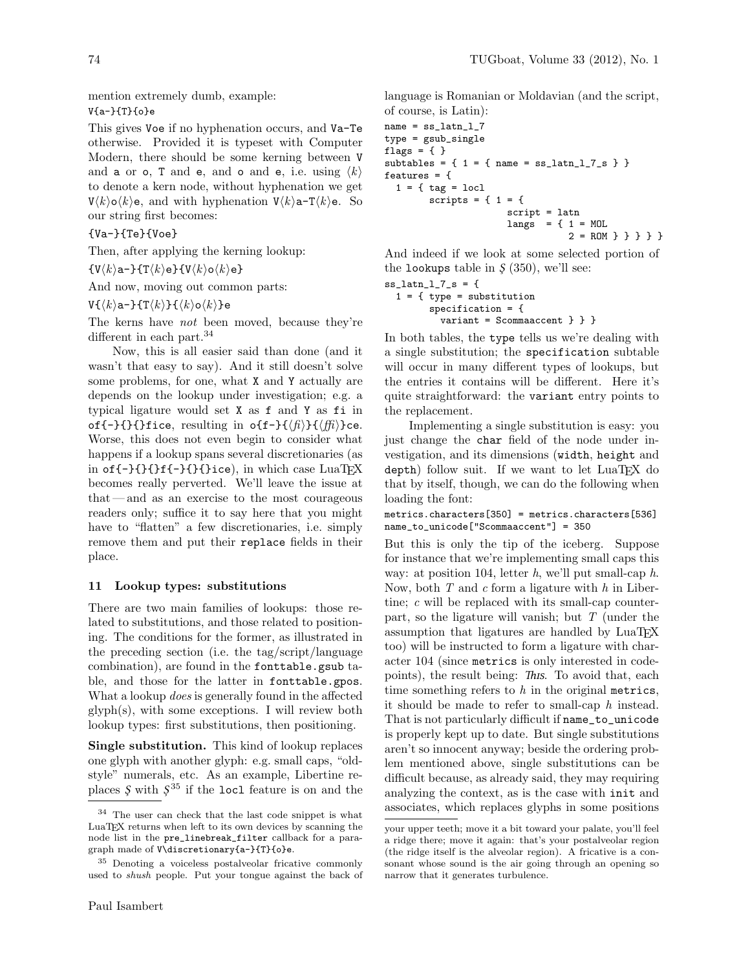mention extremely dumb, example: V{a-}{T}{o}e

This gives Voe if no hyphenation occurs, and Va-Te otherwise. Provided it is typeset with Computer Modern, there should be some kerning between V and a or o, T and e, and o and e, i.e. using  $\langle k \rangle$ to denote a kern node, without hyphenation we get  $V\langle k\rangle o\langle k\rangle e$ , and with hyphenation  $V\langle k\rangle a-T\langle k\rangle e$ . So our string first becomes:

{Va-}{Te}{Voe}

Then, after applying the kerning lookup:

 $\{V\langle k\rangle a-\}$  $\{T\langle k\rangle e\}$  $\{V\langle k\rangle o\langle k\rangle e\}$ 

And now, moving out common parts:

 $V({\kappa}a-\}T{\kappa}F(k)$ k $\langle k\rangle$ o ${\kappa}$ }e

The kerns have not been moved, because they're different in each part.<sup>34</sup>

Now, this is all easier said than done (and it wasn't that easy to say). And it still doesn't solve some problems, for one, what X and Y actually are depends on the lookup under investigation; e.g. a typical ligature would set X as f and Y as fi in of{-}{}{}fice, resulting in o{f-}{ $\langle f \rangle$ }{ $\langle f \bar{f} \rangle$ }ce. Worse, this does not even begin to consider what happens if a lookup spans several discretionaries (as in of{-}{}{}f{-}{}{}ice), in which case LuaTEX becomes really perverted. We'll leave the issue at that— and as an exercise to the most courageous readers only; suffice it to say here that you might have to "flatten" a few discretionaries, i.e. simply remove them and put their replace fields in their place.

### 11 Lookup types: substitutions

There are two main families of lookups: those related to substitutions, and those related to positioning. The conditions for the former, as illustrated in the preceding section (i.e. the tag/script/language combination), are found in the fonttable.gsub table, and those for the latter in fonttable.gpos. What a lookup does is generally found in the affected glyph(s), with some exceptions. I will review both lookup types: first substitutions, then positioning.

Single substitution. This kind of lookup replaces one glyph with another glyph: e.g. small caps, "oldstyle" numerals, etc. As an example, Libertine replaces  $\zeta$  with  $\zeta^{35}$  if the loc1 feature is on and the language is Romanian or Moldavian (and the script, of course, is Latin):

```
name = ss_latn_l_7type = gsub_single
flags = \{ \}subtables = \{ 1 = \{ name = ss\_latin\_1\_7\_s \} \}features = {
  1 = \{ tag = loc1scripts = \{ 1 = \{script = latn
                       langs = \{ 1 = MOL2 = ROM } } } } }
```
And indeed if we look at some selected portion of the lookups table in  $\zeta$  (350), we'll see:

 $ss_l$ latn\_ $l$ \_ $7$ \_ $s$  = {  $1 = \{ type = substitution$ specification = { variant = Scommaaccent } } }

In both tables, the type tells us we're dealing with a single substitution; the specification subtable will occur in many different types of lookups, but the entries it contains will be different. Here it's quite straightforward: the variant entry points to the replacement.

Implementing a single substitution is easy: you just change the char field of the node under investigation, and its dimensions (width, height and  $depth)$  follow suit. If we want to let  $LuaTFX$  do that by itself, though, we can do the following when loading the font:

metrics.characters[350] = metrics.characters[536] name\_to\_unicode["Scommaaccent"] = 350

But this is only the tip of the iceberg. Suppose for instance that we're implementing small caps this way: at position 104, letter  $h$ , we'll put small-cap  $h$ . Now, both  $T$  and  $c$  form a ligature with  $h$  in Libertine; c will be replaced with its small-cap counterpart, so the ligature will vanish; but  $T$  (under the assumption that ligatures are handled by LuaTEX too) will be instructed to form a ligature with character 104 (since metrics is only interested in codepoints), the result being: This. To avoid that, each time something refers to  $h$  in the original metrics, it should be made to refer to small-cap  $h$  instead. That is not particularly difficult if name\_to\_unicode is properly kept up to date. But single substitutions aren't so innocent anyway; beside the ordering problem mentioned above, single substitutions can be difficult because, as already said, they may requiring analyzing the context, as is the case with init and associates, which replaces glyphs in some positions

<sup>34</sup> The user can check that the last code snippet is what LuaTEX returns when left to its own devices by scanning the node list in the pre\_linebreak\_filter callback for a paragraph made of V\discretionary{a-}{T}{o}e.

<sup>35</sup> Denoting a voiceless postalveolar fricative commonly used to shush people. Put your tongue against the back of

your upper teeth; move it a bit toward your palate, you'll feel a ridge there; move it again: that's your postalveolar region (the ridge itself is the alveolar region). A fricative is a consonant whose sound is the air going through an opening so narrow that it generates turbulence.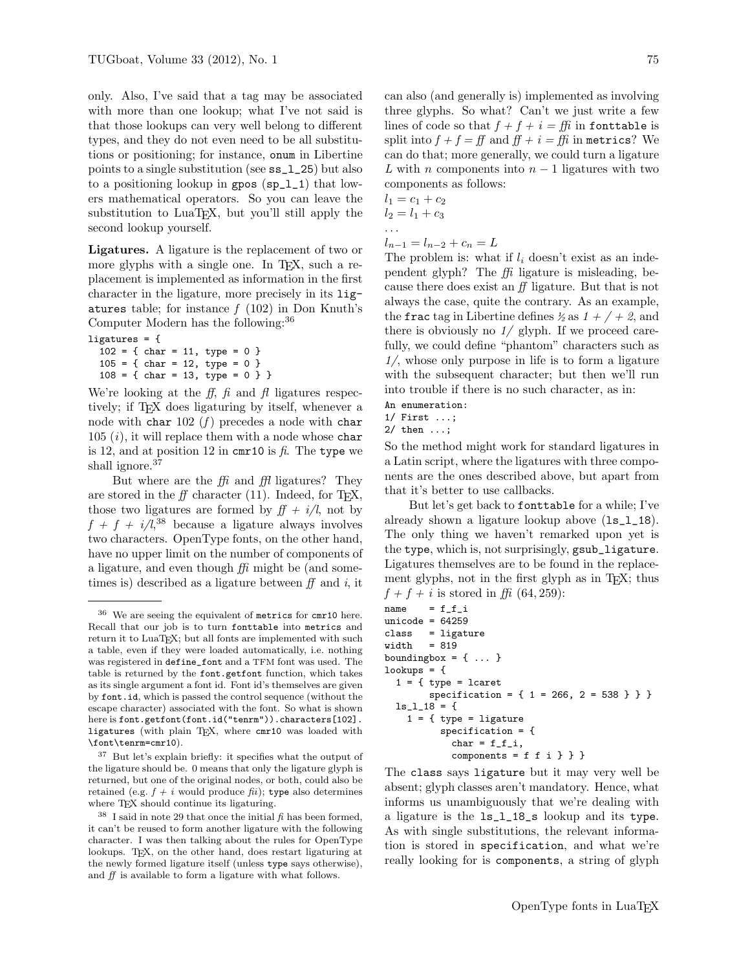only. Also, I've said that a tag may be associated with more than one lookup; what I've not said is that those lookups can very well belong to different types, and they do not even need to be all substitutions or positioning; for instance, onum in Libertine points to a single substitution (see ss\_l\_25) but also to a positioning lookup in gpos (sp\_l\_1) that lowers mathematical operators. So you can leave the substitution to LuaT<sub>EX</sub>, but you'll still apply the second lookup yourself.

Ligatures. A ligature is the replacement of two or more glyphs with a single one. In T<sub>E</sub>X, such a replacement is implemented as information in the first character in the ligature, more precisely in its ligatures table; for instance  $f(102)$  in Don Knuth's Computer Modern has the following:<sup>36</sup>

ligatures = { 102 = { char = 11, type = 0 } 105 = { char = 12, type = 0 } 108 = { char = 13, type = 0 } }

We're looking at the  $f, \hat{f}$  and  $f$ l ligatures respectively; if TEX does ligaturing by itself, whenever a node with char 102  $(f)$  precedes a node with char  $105$   $(i)$ , it will replace them with a node whose char is 12, and at position 12 in cmr10 is  $\hat{\mu}$ . The type we shall ignore.<sup>37</sup>

But where are the  $f\ddot{\theta}$  and  $f\ddot{\theta}$  ligatures? They are stored in the  $f\!f$  character (11). Indeed, for TFX, those two ligatures are formed by  $f f + i/l$ , not by  $f + f + i/l$ <sup>38</sup> because a ligature always involves two characters. OpenType fonts, on the other hand, have no upper limit on the number of components of a ligature, and even though  $f\ddot{h}$  might be (and sometimes is) described as a ligature between  $f\bar{f}$  and i, it

can also (and generally is) implemented as involving three glyphs. So what? Can't we just write a few lines of code so that  $f + f + i = f\hat{h}$  in fonttable is split into  $f + f = ff$  and  $ff + i = ff$  in metrics? We can do that; more generally, we could turn a ligature L with n components into  $n-1$  ligatures with two components as follows:

$$
l_1 = c_1 + c_2 \n l_2 = l_1 + c_3 \n \dots \n l_{n-1} = l_{n-2} + c_n = L
$$

The problem is: what if  $l_i$  doesn't exist as an independent glyph? The  $f\!f\!i$  ligature is misleading, because there does exist an ff ligature. But that is not always the case, quite the contrary. As an example, the fractag in Libertine defines  $\frac{1}{2}$  as  $1 + \frac{1}{2}$ , and there is obviously no  $1/$  glyph. If we proceed carefully, we could define "phantom" characters such as  $1/$ , whose only purpose in life is to form a ligature with the subsequent character; but then we'll run into trouble if there is no such character, as in:

An enumeration: 1/ First ...;

2/ then ...;

So the method might work for standard ligatures in a Latin script, where the ligatures with three components are the ones described above, but apart from that it's better to use callbacks.

But let's get back to fonttable for a while; I've already shown a ligature lookup above (ls\_l\_18). The only thing we haven't remarked upon yet is the type, which is, not surprisingly, gsub\_ligature. Ligatures themselves are to be found in the replacement glyphs, not in the first glyph as in T<sub>E</sub>X; thus  $f + f + i$  is stored in ffi (64, 259):

```
name = f_f_iunicode = 64259class = ligature
width = 819
boundingbox = \{ \ldots \}lookups = {1 = \{ type = !carespecification = { 1 = 266, 2 = 538 } } }
 ls_l_18 = {1 = \{ type = 1igaturespecification = {
           char = f_f_i,components = f f i } } }
```
The class says ligature but it may very well be absent; glyph classes aren't mandatory. Hence, what informs us unambiguously that we're dealing with a ligature is the ls\_l\_18\_s lookup and its type. As with single substitutions, the relevant information is stored in specification, and what we're really looking for is components, a string of glyph

 $36$  We are seeing the equivalent of metrics for cmr10 here. Recall that our job is to turn fonttable into metrics and return it to LuaTEX; but all fonts are implemented with such a table, even if they were loaded automatically, i.e. nothing was registered in define\_font and a TFM font was used. The table is returned by the font.getfont function, which takes as its single argument a font id. Font id's themselves are given by font.id, which is passed the control sequence (without the escape character) associated with the font. So what is shown here is font.getfont(font.id("tenrm")).characters[102]. ligatures (with plain TEX, where cmr10 was loaded with \font\tenrm=cmr10).

<sup>37</sup> But let's explain briefly: it specifies what the output of the ligature should be. 0 means that only the ligature glyph is returned, but one of the original nodes, or both, could also be retained (e.g.  $f + i$  would produce  $f(i)$ ; type also determines where TEX should continue its ligaturing.

 $38$  I said in note 29 that once the initial  $\beta$  has been formed, it can't be reused to form another ligature with the following character. I was then talking about the rules for OpenType lookups. T<sub>E</sub>X, on the other hand, does restart ligaturing at the newly formed ligature itself (unless type says otherwise), and ff is available to form a ligature with what follows.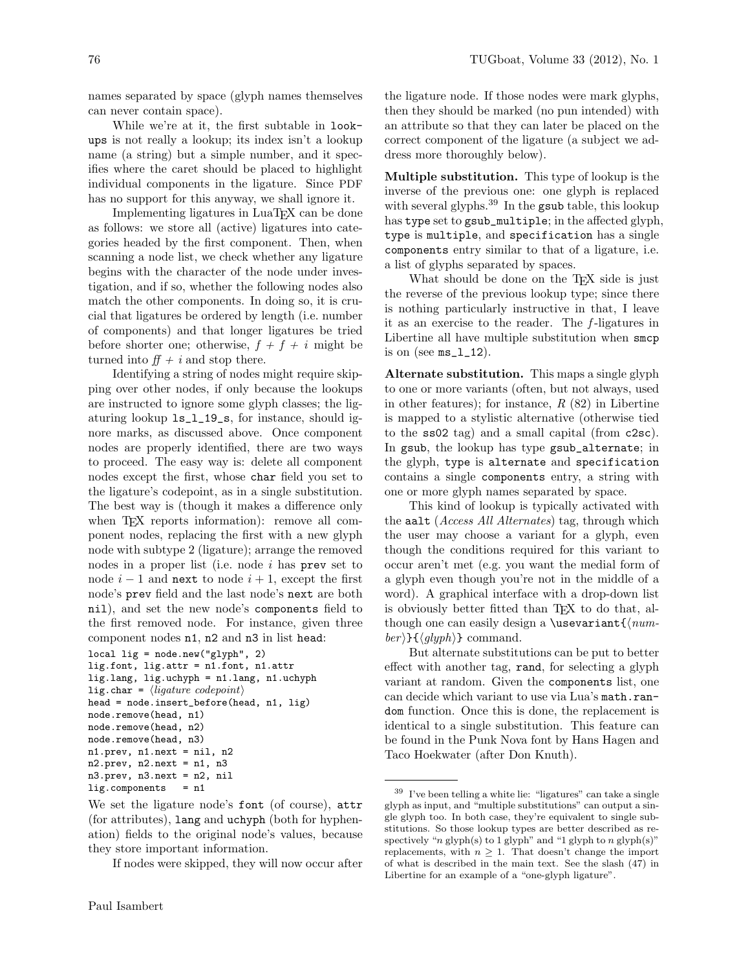names separated by space (glyph names themselves can never contain space).

While we're at it, the first subtable in lookups is not really a lookup; its index isn't a lookup name (a string) but a simple number, and it specifies where the caret should be placed to highlight individual components in the ligature. Since PDF has no support for this anyway, we shall ignore it.

Implementing ligatures in LuaT<sub>EX</sub> can be done as follows: we store all (active) ligatures into categories headed by the first component. Then, when scanning a node list, we check whether any ligature begins with the character of the node under investigation, and if so, whether the following nodes also match the other components. In doing so, it is crucial that ligatures be ordered by length (i.e. number of components) and that longer ligatures be tried before shorter one; otherwise,  $f + f + i$  might be turned into  $ff + i$  and stop there.

Identifying a string of nodes might require skipping over other nodes, if only because the lookups are instructed to ignore some glyph classes; the ligaturing lookup ls\_l\_19\_s, for instance, should ignore marks, as discussed above. Once component nodes are properly identified, there are two ways to proceed. The easy way is: delete all component nodes except the first, whose char field you set to the ligature's codepoint, as in a single substitution. The best way is (though it makes a difference only when T<sub>F</sub>X reports information): remove all component nodes, replacing the first with a new glyph node with subtype 2 (ligature); arrange the removed nodes in a proper list (i.e. node  $i$  has prev set to node  $i - 1$  and next to node  $i + 1$ , except the first node's prev field and the last node's next are both nil), and set the new node's components field to the first removed node. For instance, given three component nodes n1, n2 and n3 in list head:

```
local lig = node.new("glyph", 2)
```

```
lig.font, lig.attr = n1.font, n1.attr
lig.lang, lig.uchyph = n1.lang, n1.uchyph
lig.char = \langleligature codepoint\ranglehead = node.insert_before(head, n1, lig)
node.remove(head, n1)
node.remove(head, n2)
node.remove(head, n3)
n1.prev, n1.next = nil, n2
n2.prev, n2.next = n1, n3
n3.prev, n3.next = n2, nil
lig.components = n1
```
If nodes were skipped, they will now occur after

the ligature node. If those nodes were mark glyphs, then they should be marked (no pun intended) with an attribute so that they can later be placed on the correct component of the ligature (a subject we address more thoroughly below).

Multiple substitution. This type of lookup is the inverse of the previous one: one glyph is replaced with several glyphs.<sup>39</sup> In the gsub table, this lookup has type set to gsub\_multiple; in the affected glyph, type is multiple, and specification has a single components entry similar to that of a ligature, i.e. a list of glyphs separated by spaces.

What should be done on the T<sub>E</sub>X side is just the reverse of the previous lookup type; since there is nothing particularly instructive in that, I leave it as an exercise to the reader. The  $f$ -ligatures in Libertine all have multiple substitution when smcp is on (see  $ms_1_1_2$ ).

Alternate substitution. This maps a single glyph to one or more variants (often, but not always, used in other features); for instance,  $R(82)$  in Libertine is mapped to a stylistic alternative (otherwise tied to the ss02 tag) and a small capital (from c2sc). In gsub, the lookup has type gsub\_alternate; in the glyph, type is alternate and specification contains a single components entry, a string with one or more glyph names separated by space.

This kind of lookup is typically activated with the aalt (*Access All Alternates*) tag, through which the user may choose a variant for a glyph, even though the conditions required for this variant to occur aren't met (e.g. you want the medial form of a glyph even though you're not in the middle of a word). A graphical interface with a drop-down list is obviously better fitted than T<sub>EX</sub> to do that, although one can easily design a \usevariant $\{num$  $ber$ }{ $\langle glyph \rangle$ } command.

But alternate substitutions can be put to better effect with another tag, rand, for selecting a glyph variant at random. Given the components list, one can decide which variant to use via Lua's math.random function. Once this is done, the replacement is identical to a single substitution. This feature can be found in the Punk Nova font by Hans Hagen and Taco Hoekwater (after Don Knuth).

We set the ligature node's font (of course), attr (for attributes), lang and uchyph (both for hyphenation) fields to the original node's values, because they store important information.

<sup>39</sup> I've been telling a white lie: "ligatures" can take a single glyph as input, and "multiple substitutions" can output a single glyph too. In both case, they're equivalent to single substitutions. So those lookup types are better described as respectively " $n$  glyph(s) to 1 glyph" and "1 glyph to  $n$  glyph(s)" replacements, with  $n \geq 1$ . That doesn't change the import of what is described in the main text. See the slash (47) in Libertine for an example of a "one-glyph ligature".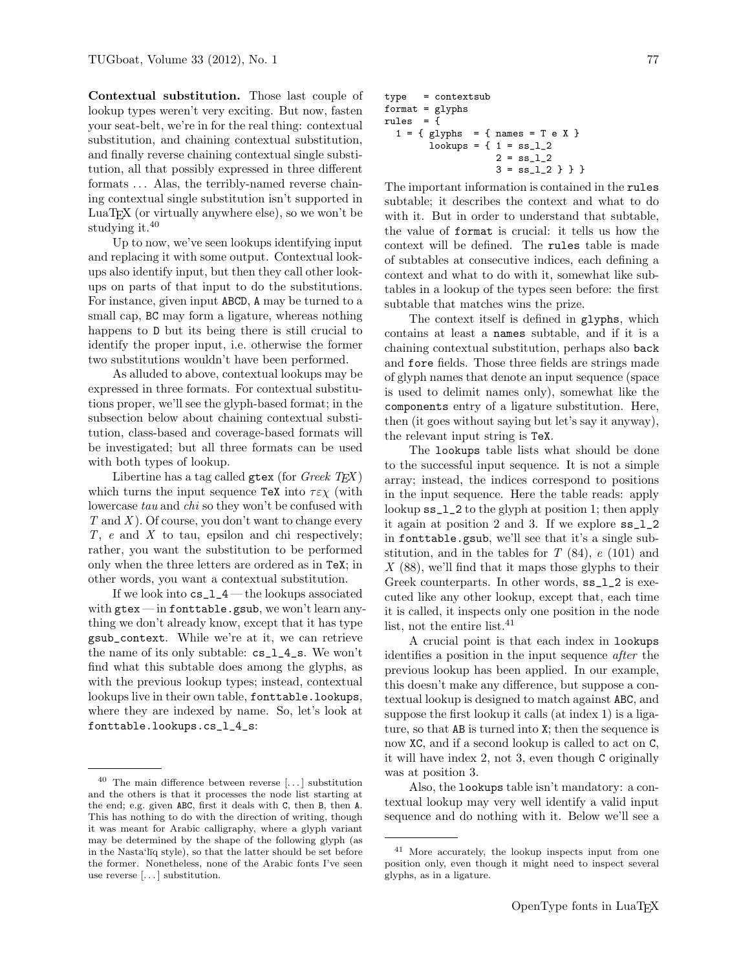Contextual substitution. Those last couple of lookup types weren't very exciting. But now, fasten your seat-belt, we're in for the real thing: contextual substitution, and chaining contextual substitution, and finally reverse chaining contextual single substitution, all that possibly expressed in three different formats ... Alas, the terribly-named reverse chaining contextual single substitution isn't supported in LuaTEX (or virtually anywhere else), so we won't be studying it.<sup>40</sup>

Up to now, we've seen lookups identifying input and replacing it with some output. Contextual lookups also identify input, but then they call other lookups on parts of that input to do the substitutions. For instance, given input ABCD, A may be turned to a small cap, BC may form a ligature, whereas nothing happens to D but its being there is still crucial to identify the proper input, i.e. otherwise the former two substitutions wouldn't have been performed.

As alluded to above, contextual lookups may be expressed in three formats. For contextual substitutions proper, we'll see the glyph-based format; in the subsection below about chaining contextual substitution, class-based and coverage-based formats will be investigated; but all three formats can be used with both types of lookup.

Libertine has a tag called gtex (for *Greek*  $TEX$ ) which turns the input sequence TeX into  $\tau \varepsilon \chi$  (with lowercase tau and chi so they won't be confused with  $T$  and  $X$ ). Of course, you don't want to change every  $T$ ,  $e$  and  $X$  to tau, epsilon and chi respectively; rather, you want the substitution to be performed only when the three letters are ordered as in TeX; in other words, you want a contextual substitution.

If we look into cs\_l\_4 — the lookups associated with  $gtex - in$  fonttable.gsub, we won't learn anything we don't already know, except that it has type gsub\_context. While we're at it, we can retrieve the name of its only subtable: cs\_l\_4\_s. We won't find what this subtable does among the glyphs, as with the previous lookup types; instead, contextual lookups live in their own table, fonttable.lookups, where they are indexed by name. So, let's look at fonttable.lookups.cs\_l\_4\_s:

```
type = contextsub
format = glyphsrules = \overline{\mathbf{f}}1 = \{ glyphs = \{ names = T e X \}lookups = { 1 = ss_l^22 = ss_l_l_23 = ss_1_2 } } }
```
The important information is contained in the rules subtable; it describes the context and what to do with it. But in order to understand that subtable, the value of format is crucial: it tells us how the context will be defined. The rules table is made of subtables at consecutive indices, each defining a context and what to do with it, somewhat like subtables in a lookup of the types seen before: the first subtable that matches wins the prize.

The context itself is defined in glyphs, which contains at least a names subtable, and if it is a chaining contextual substitution, perhaps also back and fore fields. Those three fields are strings made of glyph names that denote an input sequence (space is used to delimit names only), somewhat like the components entry of a ligature substitution. Here, then (it goes without saying but let's say it anyway), the relevant input string is TeX.

The lookups table lists what should be done to the successful input sequence. It is not a simple array; instead, the indices correspond to positions in the input sequence. Here the table reads: apply lookup ss\_l\_2 to the glyph at position 1; then apply it again at position 2 and 3. If we explore ss\_l\_2 in fonttable.gsub, we'll see that it's a single substitution, and in the tables for  $T$  (84),  $e$  (101) and  $X$  (88), we'll find that it maps those glyphs to their Greek counterparts. In other words, ss\_l\_2 is executed like any other lookup, except that, each time it is called, it inspects only one position in the node list, not the entire list.<sup>41</sup>

A crucial point is that each index in lookups identifies a position in the input sequence after the previous lookup has been applied. In our example, this doesn't make any difference, but suppose a contextual lookup is designed to match against ABC, and suppose the first lookup it calls (at index 1) is a ligature, so that AB is turned into X; then the sequence is now XC, and if a second lookup is called to act on C, it will have index 2, not 3, even though C originally was at position 3.

Also, the lookups table isn't mandatory: a contextual lookup may very well identify a valid input sequence and do nothing with it. Below we'll see a

 $40$  The main difference between reverse [...] substitution and the others is that it processes the node list starting at the end; e.g. given ABC, first it deals with C, then B, then A. This has nothing to do with the direction of writing, though it was meant for Arabic calligraphy, where a glyph variant may be determined by the shape of the following glyph (as in the Nasta'l<del>iq</del> style), so that the latter should be set before the former. Nonetheless, none of the Arabic fonts I've seen use reverse [. . . ] substitution.

<sup>41</sup> More accurately, the lookup inspects input from one position only, even though it might need to inspect several glyphs, as in a ligature.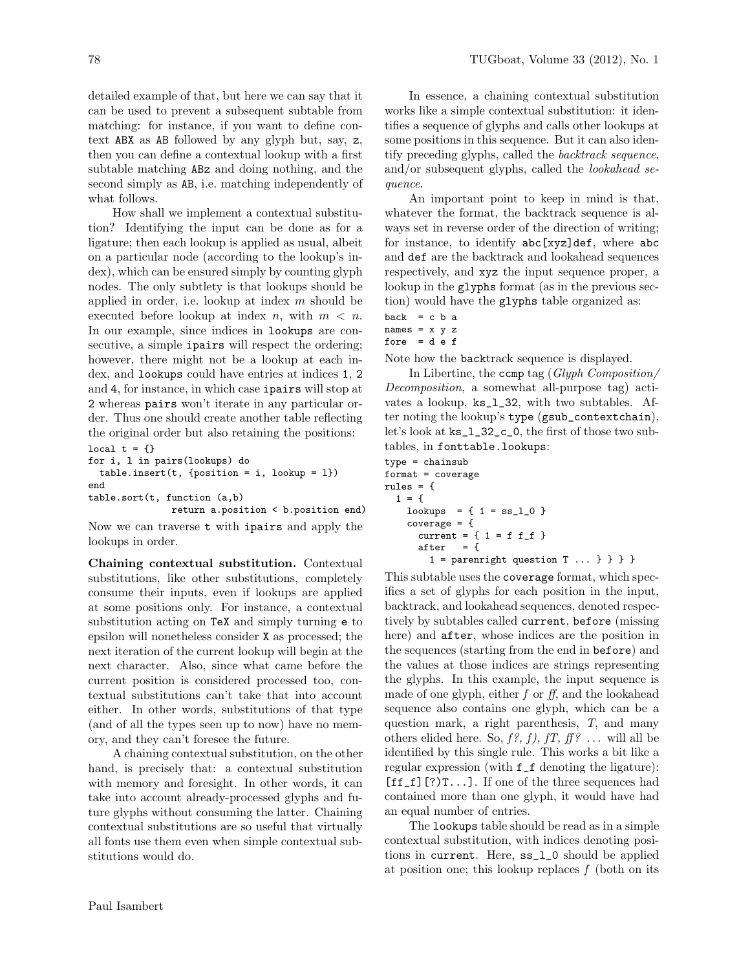detailed example of that, but here we can say that it can be used to prevent a subsequent subtable from matching: for instance, if you want to define context ABX as AB followed by any glyph but, say, z, then you can define a contextual lookup with a first subtable matching ABz and doing nothing, and the second simply as AB, i.e. matching independently of what follows.

How shall we implement a contextual substitution? Identifying the input can be done as for a ligature; then each lookup is applied as usual, albeit on a particular node (according to the lookup's index), which can be ensured simply by counting glyph nodes. The only subtlety is that lookups should be applied in order, i.e. lookup at index  $m$  should be executed before lookup at index n, with  $m < n$ . In our example, since indices in lookups are consecutive, a simple **ipairs** will respect the ordering; however, there might not be a lookup at each index, and lookups could have entries at indices 1, 2 and 4, for instance, in which case ipairs will stop at 2 whereas pairs won't iterate in any particular order. Thus one should create another table reflecting the original order but also retaining the positions: local  $t = \{\}$ 

```
for i, l in pairs(lookups) do
  table.insert(t, {position = i, lookup = 1})end
table.sort(t, function (a,b)
               return a.position < b.position end)
```
Now we can traverse t with ipairs and apply the lookups in order.

Chaining contextual substitution. Contextual substitutions, like other substitutions, completely consume their inputs, even if lookups are applied at some positions only. For instance, a contextual substitution acting on TeX and simply turning e to epsilon will nonetheless consider X as processed; the next iteration of the current lookup will begin at the next character. Also, since what came before the current position is considered processed too, contextual substitutions can't take that into account either. In other words, substitutions of that type (and of all the types seen up to now) have no memory, and they can't foresee the future.

A chaining contextual substitution, on the other hand, is precisely that: a contextual substitution with memory and foresight. In other words, it can take into account already-processed glyphs and future glyphs without consuming the latter. Chaining contextual substitutions are so useful that virtually all fonts use them even when simple contextual substitutions would do.

In essence, a chaining contextual substitution works like a simple contextual substitution: it identifies a sequence of glyphs and calls other lookups at some positions in this sequence. But it can also identify preceding glyphs, called the backtrack sequence, and/or subsequent glyphs, called the *lookahead se*quence.

An important point to keep in mind is that, whatever the format, the backtrack sequence is always set in reverse order of the direction of writing; for instance, to identify abc[xyz]def, where abc and def are the backtrack and lookahead sequences respectively, and xyz the input sequence proper, a lookup in the glyphs format (as in the previous section) would have the glyphs table organized as:

```
back = c b anames = x y z
fore = d e f
```
Note how the backtrack sequence is displayed.

In Libertine, the ccmp tag (Glyph Composition/ Decomposition, a somewhat all-purpose tag) activates a lookup, ks\_l\_32, with two subtables. After noting the lookup's type (gsub\_contextchain), let's look at ks\_l\_32\_c\_0, the first of those two subtables, in fonttable.lookups:

```
type = chainsub
format = coverage
rules = {
 1 = \{lookups = { 1 = ss_l_0 }coverage = {
     current = { 1 = f f_f}
     after = {
       1 = parentight question T ... } } }
```
This subtable uses the coverage format, which specifies a set of glyphs for each position in the input, backtrack, and lookahead sequences, denoted respectively by subtables called current, before (missing here) and after, whose indices are the position in the sequences (starting from the end in before) and the values at those indices are strings representing the glyphs. In this example, the input sequence is made of one glyph, either  $f$  or  $ff$ , and the lookahead sequence also contains one glyph, which can be a question mark, a right parenthesis, T, and many others elided here. So,  $f$ ?,  $f$ ),  $f$ T,  $f$ f? ... will all be identified by this single rule. This works a bit like a regular expression (with f\_f denoting the ligature):  $[ff_f]$ [?) $T$ ...]. If one of the three sequences had contained more than one glyph, it would have had an equal number of entries.

The lookups table should be read as in a simple contextual substitution, with indices denoting positions in current. Here, ss\_l\_0 should be applied at position one; this lookup replaces  $f$  (both on its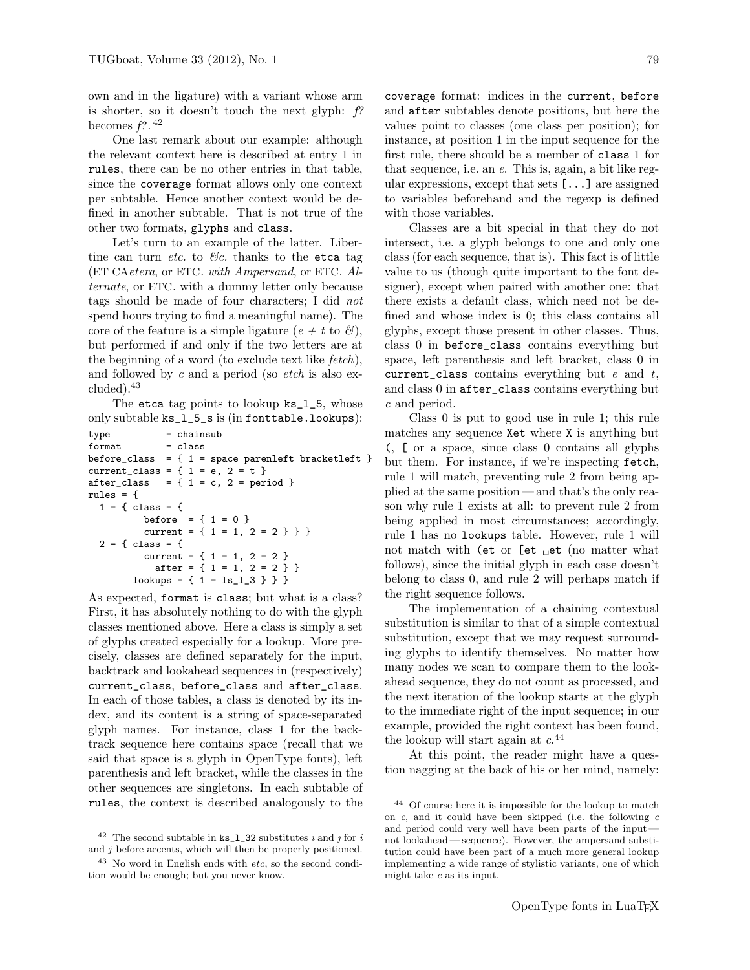own and in the ligature) with a variant whose arm is shorter, so it doesn't touch the next glyph:  $f$ ? becomes  $f$ ?.<sup>42</sup>

One last remark about our example: although the relevant context here is described at entry 1 in rules, there can be no other entries in that table, since the coverage format allows only one context per subtable. Hence another context would be defined in another subtable. That is not true of the other two formats, glyphs and class.

Let's turn to an example of the latter. Libertine can turn *etc.* to  $\mathcal{B}c$ . thanks to the etca tag (ET CAetera, or ETC. with Ampersand, or ETC. Alternate, or ETC. with a dummy letter only because tags should be made of four characters; I did not spend hours trying to find a meaningful name). The core of the feature is a simple ligature ( $e + t$  to  $\mathcal{B}$ ), but performed if and only if the two letters are at the beginning of a word (to exclude text like  $fetch$ ), and followed by c and a period (so  $etch$  is also excluded).<sup>43</sup>

The etca tag points to lookup ks\_l\_5, whose only subtable ks\_l\_5\_s is (in fonttable.lookups):

```
type = chainsub
format = classbefore_class = {1 = space parent parenleft bracketleft }
current_class = {1 = e, 2 = t }
after_class = \{ 1 = c, 2 = period \}rules = {
  1 = \{ \text{ class } = \{ \}before = {1 = 0}
          current = \{ 1 = 1, 2 = 2 \} }
  2 = \{ \text{class} = \}current = \{ 1 = 1, 2 = 2 \}after = \{ 1 = 1, 2 = 2 \}lookups = { 1 = ls_l_3 } } }
```
As expected, format is class; but what is a class? First, it has absolutely nothing to do with the glyph classes mentioned above. Here a class is simply a set of glyphs created especially for a lookup. More precisely, classes are defined separately for the input, backtrack and lookahead sequences in (respectively) current\_class, before\_class and after\_class. In each of those tables, a class is denoted by its index, and its content is a string of space-separated glyph names. For instance, class 1 for the backtrack sequence here contains space (recall that we said that space is a glyph in OpenType fonts), left parenthesis and left bracket, while the classes in the other sequences are singletons. In each subtable of rules, the context is described analogously to the

 $^{42}$  The second subtable in  $\mathtt{ks\_l\_32}$  substitutes  $\imath$  and  $\jmath$  for  $i$ and  $j$  before accents, which will then be properly positioned.

coverage format: indices in the current, before and after subtables denote positions, but here the values point to classes (one class per position); for instance, at position 1 in the input sequence for the first rule, there should be a member of class 1 for that sequence, i.e. an e. This is, again, a bit like regular expressions, except that sets [...] are assigned to variables beforehand and the regexp is defined with those variables.

Classes are a bit special in that they do not intersect, i.e. a glyph belongs to one and only one class (for each sequence, that is). This fact is of little value to us (though quite important to the font designer), except when paired with another one: that there exists a default class, which need not be defined and whose index is 0; this class contains all glyphs, except those present in other classes. Thus, class 0 in before\_class contains everything but space, left parenthesis and left bracket, class 0 in current\_class contains everything but  $e$  and  $t$ , and class 0 in after\_class contains everything but c and period.

Class 0 is put to good use in rule 1; this rule matches any sequence Xet where X is anything but (, [ or a space, since class 0 contains all glyphs but them. For instance, if we're inspecting fetch, rule 1 will match, preventing rule 2 from being applied at the same position — and that's the only reason why rule 1 exists at all: to prevent rule 2 from being applied in most circumstances; accordingly, rule 1 has no lookups table. However, rule 1 will not match with (et or  $[$ et  $_{\sqcup}$ et (no matter what follows), since the initial glyph in each case doesn't belong to class 0, and rule 2 will perhaps match if the right sequence follows.

The implementation of a chaining contextual substitution is similar to that of a simple contextual substitution, except that we may request surrounding glyphs to identify themselves. No matter how many nodes we scan to compare them to the lookahead sequence, they do not count as processed, and the next iteration of the lookup starts at the glyph to the immediate right of the input sequence; in our example, provided the right context has been found, the lookup will start again at  $c^{44}$ 

At this point, the reader might have a question nagging at the back of his or her mind, namely:

 $43$  No word in English ends with *etc*, so the second condition would be enough; but you never know.

<sup>44</sup> Of course here it is impossible for the lookup to match on  $c$ , and it could have been skipped (i.e. the following  $c$ and period could very well have been parts of the input not lookahead— sequence). However, the ampersand substitution could have been part of a much more general lookup implementing a wide range of stylistic variants, one of which might take  $c$  as its input.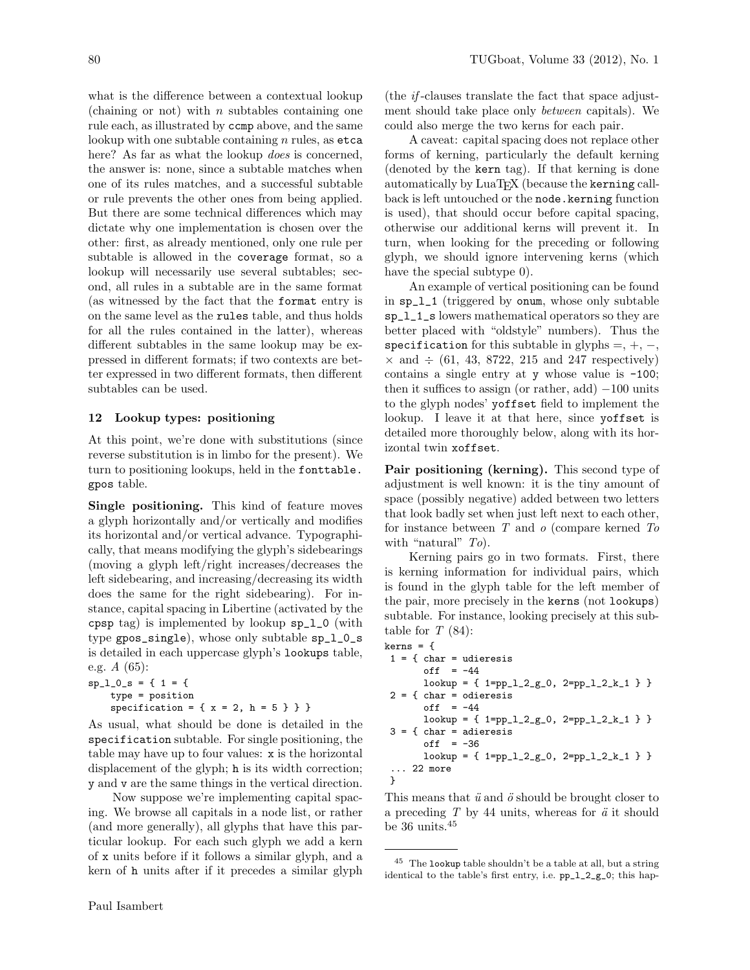what is the difference between a contextual lookup (chaining or not) with  $n$  subtables containing one rule each, as illustrated by ccmp above, and the same lookup with one subtable containing  $n$  rules, as etca here? As far as what the lookup *does* is concerned, the answer is: none, since a subtable matches when one of its rules matches, and a successful subtable or rule prevents the other ones from being applied. But there are some technical differences which may dictate why one implementation is chosen over the other: first, as already mentioned, only one rule per subtable is allowed in the coverage format, so a lookup will necessarily use several subtables; second, all rules in a subtable are in the same format (as witnessed by the fact that the format entry is on the same level as the rules table, and thus holds for all the rules contained in the latter), whereas different subtables in the same lookup may be expressed in different formats; if two contexts are better expressed in two different formats, then different subtables can be used.

# 12 Lookup types: positioning

At this point, we're done with substitutions (since reverse substitution is in limbo for the present). We turn to positioning lookups, held in the fonttable. gpos table.

Single positioning. This kind of feature moves a glyph horizontally and/or vertically and modifies its horizontal and/or vertical advance. Typographically, that means modifying the glyph's sidebearings (moving a glyph left/right increases/decreases the left sidebearing, and increasing/decreasing its width does the same for the right sidebearing). For instance, capital spacing in Libertine (activated by the cpsp tag) is implemented by lookup sp\_l\_0 (with type gpos\_single), whose only subtable sp\_l\_0\_s is detailed in each uppercase glyph's lookups table, e.g. A (65):

```
sp_1_0_s = \{ 1 = 1 \}type = position
    specification = \{ x = 2, h = 5 \} \}
```
As usual, what should be done is detailed in the specification subtable. For single positioning, the table may have up to four values: x is the horizontal displacement of the glyph; h is its width correction; y and v are the same things in the vertical direction.

Now suppose we're implementing capital spacing. We browse all capitals in a node list, or rather (and more generally), all glyphs that have this particular lookup. For each such glyph we add a kern of x units before if it follows a similar glyph, and a kern of h units after if it precedes a similar glyph (the if -clauses translate the fact that space adjustment should take place only between capitals). We could also merge the two kerns for each pair.

A caveat: capital spacing does not replace other forms of kerning, particularly the default kerning (denoted by the kern tag). If that kerning is done automatically by LuaT<sub>EX</sub> (because the kerning callback is left untouched or the node.kerning function is used), that should occur before capital spacing, otherwise our additional kerns will prevent it. In turn, when looking for the preceding or following glyph, we should ignore intervening kerns (which have the special subtype 0).

An example of vertical positioning can be found in sp\_l\_1 (triggered by onum, whose only subtable sp\_l\_1\_s lowers mathematical operators so they are better placed with "oldstyle" numbers). Thus the specification for this subtable in glyphs  $=, +, -$ ,  $\times$  and  $\div$  (61, 43, 8722, 215 and 247 respectively) contains a single entry at y whose value is -100; then it suffices to assign (or rather, add)  $-100$  units to the glyph nodes' yoffset field to implement the lookup. I leave it at that here, since yoffset is detailed more thoroughly below, along with its horizontal twin xoffset.

Pair positioning (kerning). This second type of adjustment is well known: it is the tiny amount of space (possibly negative) added between two letters that look badly set when just left next to each other, for instance between  $T$  and  $o$  (compare kerned  $To$ with "natural"  $To$ ).

Kerning pairs go in two formats. First, there is kerning information for individual pairs, which is found in the glyph table for the left member of the pair, more precisely in the kerns (not lookups) subtable. For instance, looking precisely at this subtable for  $T(84)$ :

```
kerns = {
1 = \{ char = udieresisoff = -44\verb|lookup = { i=pp_1_2_-g_0, 2=pp_1_2_kr_1 } \}2 = \{ char = odieresisoff = -44lookup = { 1 = pp_1_2__g0, 2 = pp_1_2_k1 }3 = \{ char = adieresisoff = -36lookup = { 1 = pp_1_2__g0, 2 = pp_1_2_k_1 }... 22 more
}
```
This means that  $\ddot{u}$  and  $\ddot{o}$  should be brought closer to a preceding  $T$  by 44 units, whereas for  $\ddot{a}$  it should be  $36$  units.  $\rm ^{45}$ 

<sup>45</sup> The lookup table shouldn't be a table at all, but a string identical to the table's first entry, i.e. pp\_l\_2\_g\_0; this hap-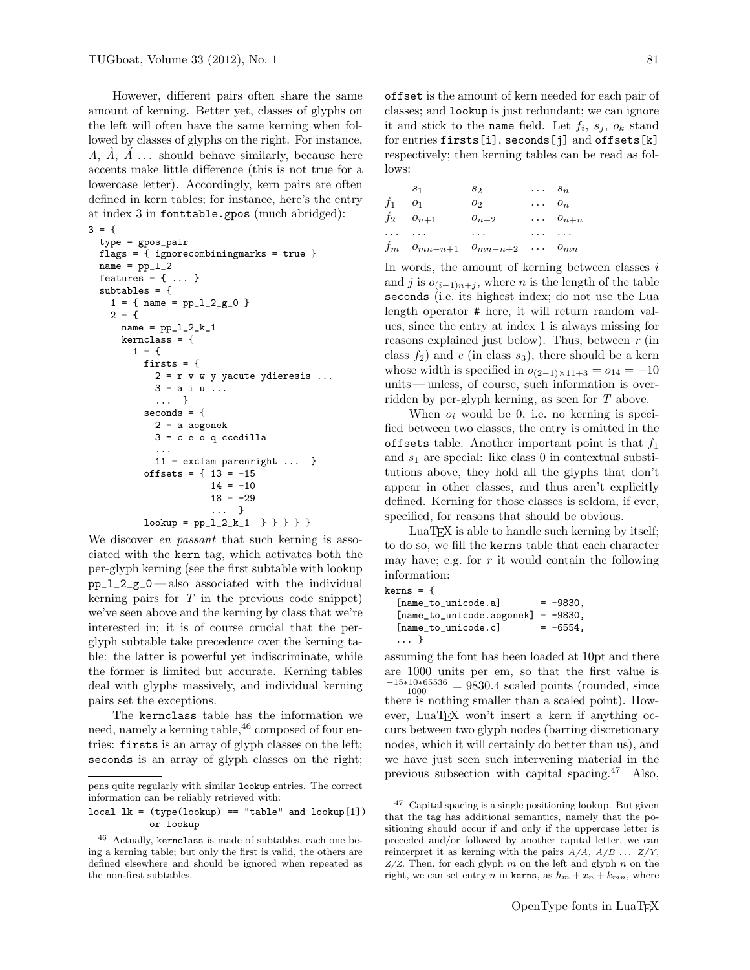However, different pairs often share the same amount of kerning. Better yet, classes of glyphs on the left will often have the same kerning when followed by classes of glyphs on the right. For instance, A,  $\dot{A}$ ,  $\dot{A}$  ... should behave similarly, because here accents make little difference (this is not true for a lowercase letter). Accordingly, kern pairs are often defined in kern tables; for instance, here's the entry at index 3 in fonttable.gpos (much abridged):

```
3 = 6
```

```
type = gpos_pair
flags = { ignorecombiningmarks = true }
name = pp_1_2features = { \ldots }subtables = {
  1 = \{ name = pp_1_2_2_0 \}2 = \{name = pp_1_2_k_1kernclass = {
      1 = \{firsts = {
          2 = r v w y yacute ydieresis ...
          3 = a i u ...
          ... }
        seconds = {2 = a aogonek
          3 = c e o q ccedilla...
          11 = exclam parenright ... }
        offsets = { 13 = -15
                    14 = -1018 = -29... }
        lookup = pp_1_2_k_1 } } } }
```
We discover *en passant* that such kerning is associated with the kern tag, which activates both the per-glyph kerning (see the first subtable with lookup  $pp_1_2_2_0$  — also associated with the individual kerning pairs for  $T$  in the previous code snippet) we've seen above and the kerning by class that we're interested in; it is of course crucial that the perglyph subtable take precedence over the kerning table: the latter is powerful yet indiscriminate, while the former is limited but accurate. Kerning tables deal with glyphs massively, and individual kerning pairs set the exceptions.

The kernclass table has the information we need, namely a kerning table, <sup>46</sup> composed of four entries: firsts is an array of glyph classes on the left; seconds is an array of glyph classes on the right;

offset is the amount of kern needed for each pair of classes; and lookup is just redundant; we can ignore it and stick to the name field. Let  $f_i$ ,  $s_j$ ,  $o_k$  stand for entries firsts[i], seconds[j] and offsets[k] respectively; then kerning tables can be read as follows:

| $S_1$       |                                 | $s_2$     | $\cdots$ $s_n$ |                    |
|-------------|---------------------------------|-----------|----------------|--------------------|
| $f_1$ $o_1$ |                                 | $O_2$     |                | $\cdots$ $o_n$     |
|             | $f_2$ $o_{n+1}$                 | $o_{n+2}$ |                | $\cdots$ $o_{n+n}$ |
|             | and a state of                  | $\cdots$  |                | a a a chanaich     |
|             | $f_m$ $o_{mn-n+1}$ $o_{mn-n+2}$ |           |                | $\cdots$ $o_{mn}$  |

In words, the amount of kerning between classes  $i$ and j is  $o_{(i-1)n+j}$ , where n is the length of the table seconds (i.e. its highest index; do not use the Lua length operator # here, it will return random values, since the entry at index 1 is always missing for reasons explained just below). Thus, between  $r$  (in class  $f_2$ ) and e (in class  $s_3$ ), there should be a kern whose width is specified in  $o_{(2-1)\times 11+3} = o_{14} = -10$ units— unless, of course, such information is overridden by per-glyph kerning, as seen for T above.

When  $o_i$  would be 0, i.e. no kerning is specified between two classes, the entry is omitted in the offsets table. Another important point is that  $f_1$ and  $s_1$  are special: like class 0 in contextual substitutions above, they hold all the glyphs that don't appear in other classes, and thus aren't explicitly defined. Kerning for those classes is seldom, if ever, specified, for reasons that should be obvious.

LuaTEX is able to handle such kerning by itself; to do so, we fill the kerns table that each character may have; e.g. for  $r$  it would contain the following information:

```
kerns = {
```

```
[name_to_unicode.a] = -9830,[name_to_unicode.aogonek] = -9830,
[name_to\_unicode.c] = -6554,
... }
```
assuming the font has been loaded at 10pt and there are 1000 units per em, so that the first value is  $\frac{-15*10*65536}{1000} = 9830.4$  scaled points (rounded, since there is nothing smaller than a scaled point). However, LuaT<sub>E</sub>X won't insert a kern if anything occurs between two glyph nodes (barring discretionary nodes, which it will certainly do better than us), and we have just seen such intervening material in the previous subsection with capital spacing.<sup>47</sup> Also,

pens quite regularly with similar lookup entries. The correct information can be reliably retrieved with:

 $local \, lk = (type(lookup) == "table" and  $lookup[1])$$ or lookup

<sup>46</sup> Actually, kernclass is made of subtables, each one being a kerning table; but only the first is valid, the others are defined elsewhere and should be ignored when repeated as the non-first subtables.

<sup>47</sup> Capital spacing is a single positioning lookup. But given that the tag has additional semantics, namely that the positioning should occur if and only if the uppercase letter is preceded and/or followed by another capital letter, we can reinterpret it as kerning with the pairs  $A/A$ ,  $A/B$  ...  $Z/Y$ ,  $Z/Z$ . Then, for each glyph m on the left and glyph n on the right, we can set entry *n* in kerns, as  $h_m + x_n + k_{mn}$ , where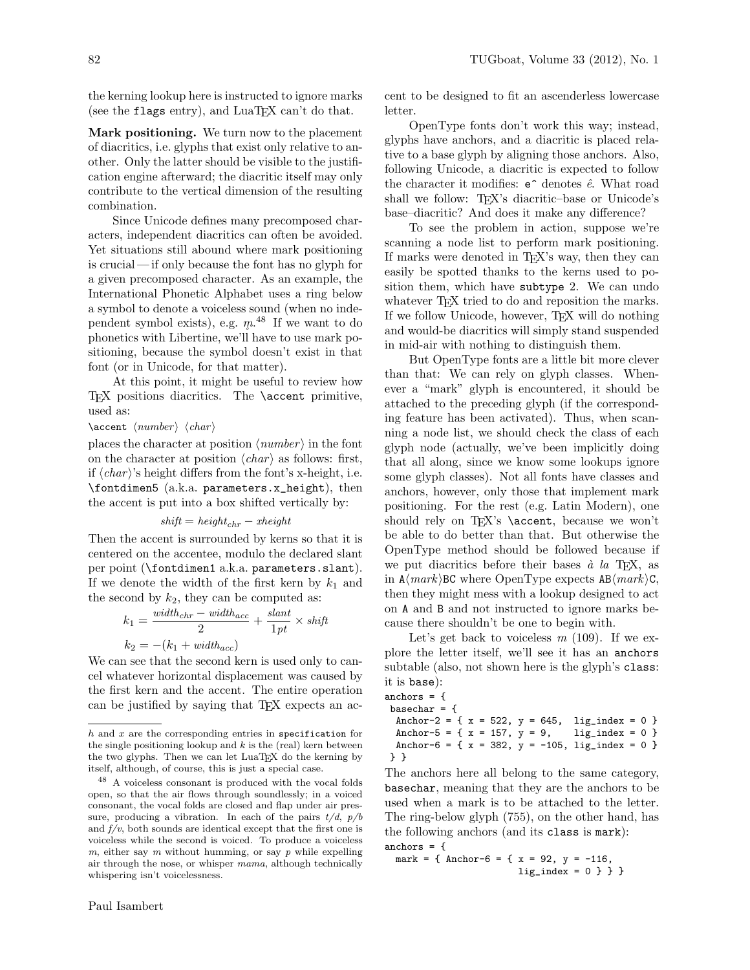the kerning lookup here is instructed to ignore marks (see the flags entry), and  $\text{LuaT} \not\!\!{F} \text{X}$  can't do that.

Mark positioning. We turn now to the placement of diacritics, i.e. glyphs that exist only relative to another. Only the latter should be visible to the justification engine afterward; the diacritic itself may only contribute to the vertical dimension of the resulting combination.

Since Unicode defines many precomposed characters, independent diacritics can often be avoided. Yet situations still abound where mark positioning is crucial — if only because the font has no glyph for a given precomposed character. As an example, the International Phonetic Alphabet uses a ring below a symbol to denote a voiceless sound (when no independent symbol exists), e.g.  $m^{48}$  If we want to do phonetics with Libertine, we'll have to use mark positioning, because the symbol doesn't exist in that font (or in Unicode, for that matter).

At this point, it might be useful to review how TEX positions diacritics. The **\accent** primitive, used as:

#### $\ \ \ \$

places the character at position  $\langle number \rangle$  in the font on the character at position  $\langle char \rangle$  as follows: first, if  $\langle char \rangle$ 's height differs from the font's x-height, i.e. \fontdimen5 (a.k.a. parameters.x\_height), then the accent is put into a box shifted vertically by:

$$
shift = height_{chr} - \textit{xheight}
$$

Then the accent is surrounded by kerns so that it is centered on the accentee, modulo the declared slant per point (\fontdimen1 a.k.a. parameters.slant). If we denote the width of the first kern by  $k_1$  and the second by  $k_2$ , they can be computed as:

$$
k_1 = \frac{width_{chr} - width_{acc}}{2} + \frac{slant}{1pt} \times shift
$$

$$
k_2 = -(k_1 + width_{acc})
$$

We can see that the second kern is used only to cancel whatever horizontal displacement was caused by the first kern and the accent. The entire operation can be justified by saying that T<sub>E</sub>X expects an ac-

cent to be designed to fit an ascenderless lowercase letter.

OpenType fonts don't work this way; instead, glyphs have anchors, and a diacritic is placed relative to a base glyph by aligning those anchors. Also, following Unicode, a diacritic is expected to follow the character it modifies:  $e^{\hat{i}}$  denotes  $\hat{e}$ . What road shall we follow: T<sub>EX</sub>'s diacritic–base or Unicode's base–diacritic? And does it make any difference?

To see the problem in action, suppose we're scanning a node list to perform mark positioning. If marks were denoted in T<sub>EX</sub>'s way, then they can easily be spotted thanks to the kerns used to position them, which have subtype 2. We can undo whatever T<sub>E</sub>X tried to do and reposition the marks. If we follow Unicode, however, TEX will do nothing and would-be diacritics will simply stand suspended in mid-air with nothing to distinguish them.

But OpenType fonts are a little bit more clever than that: We can rely on glyph classes. Whenever a "mark" glyph is encountered, it should be attached to the preceding glyph (if the corresponding feature has been activated). Thus, when scanning a node list, we should check the class of each glyph node (actually, we've been implicitly doing that all along, since we know some lookups ignore some glyph classes). Not all fonts have classes and anchors, however, only those that implement mark positioning. For the rest (e.g. Latin Modern), one should rely on TEX's \accent, because we won't be able to do better than that. But otherwise the OpenType method should be followed because if we put diacritics before their bases  $\dot{a}$  la T<sub>E</sub>X, as in  $A\langle mark\rangle BC$  where OpenType expects  $AB\langle mark\rangle C$ , then they might mess with a lookup designed to act on A and B and not instructed to ignore marks because there shouldn't be one to begin with.

Let's get back to voiceless  $m(109)$ . If we explore the letter itself, we'll see it has an anchors subtable (also, not shown here is the glyph's class: it is base):

```
anchors = {
basechar = {
 Anchor-2 = {x = 522, y = 645, lig_index = 0 }
 Anchor-5 = { x = 157, y = 9, lig\_index = 0 }
 Anchor-6 = { x = 382, y = -105, lig_index = 0 }
} }
```
The anchors here all belong to the same category, basechar, meaning that they are the anchors to be used when a mark is to be attached to the letter. The ring-below glyph (755), on the other hand, has the following anchors (and its class is mark): anchors  $=$  {

```
mark = { Anchor-6 = { x = 92, y = -116,
                      lig\_index = 0 } } }
```
 $h$  and  $x$  are the corresponding entries in specification for the single positioning lookup and  $k$  is the (real) kern between the two glyphs. Then we can let LuaTEX do the kerning by itself, although, of course, this is just a special case.

<sup>48</sup> A voiceless consonant is produced with the vocal folds open, so that the air flows through soundlessly; in a voiced consonant, the vocal folds are closed and flap under air pressure, producing a vibration. In each of the pairs  $t/d$ ,  $p/b$ and  $f/v$ , both sounds are identical except that the first one is voiceless while the second is voiced. To produce a voiceless  $m$ , either say  $m$  without humming, or say  $p$  while expelling air through the nose, or whisper mama, although technically whispering isn't voicelessness.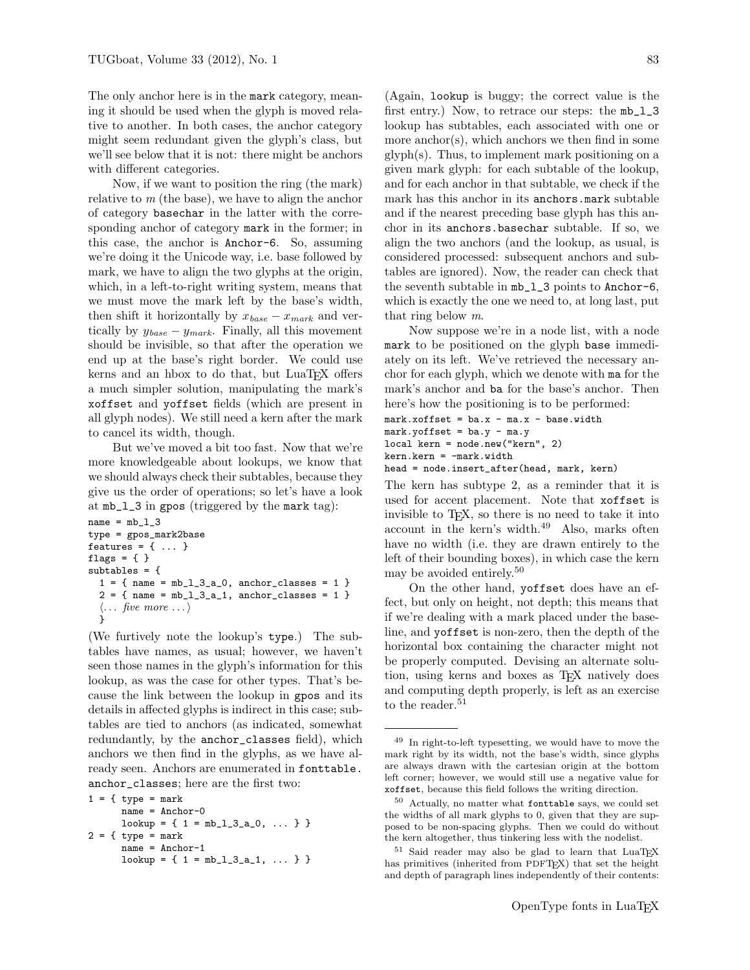The only anchor here is in the mark category, meaning it should be used when the glyph is moved relative to another. In both cases, the anchor category might seem redundant given the glyph's class, but we'll see below that it is not: there might be anchors with different categories.

Now, if we want to position the ring (the mark) relative to  $m$  (the base), we have to align the anchor of category basechar in the latter with the corresponding anchor of category mark in the former; in this case, the anchor is Anchor-6. So, assuming we're doing it the Unicode way, i.e. base followed by mark, we have to align the two glyphs at the origin, which, in a left-to-right writing system, means that we must move the mark left by the base's width, then shift it horizontally by  $x_{base} - x_{mark}$  and vertically by  $y_{base} - y_{mark}$ . Finally, all this movement should be invisible, so that after the operation we end up at the base's right border. We could use kerns and an hbox to do that, but LuaT<sub>EX</sub> offers a much simpler solution, manipulating the mark's xoffset and yoffset fields (which are present in all glyph nodes). We still need a kern after the mark to cancel its width, though.

But we've moved a bit too fast. Now that we're more knowledgeable about lookups, we know that we should always check their subtables, because they give us the order of operations; so let's have a look at mb\_l\_3 in gpos (triggered by the mark tag):

```
name = mb_1_3type = gpos_mark2base
features = \{ \ldots \}flags = \{ \}subtables = {
  1 = \{ name = mb_1_3_2_0, anchor_classes = 1 \}2 = \{ name = mb_l_l_3_l, anchor_l_classes = 1 \}\langle \dots five more \dots \rangle}
```
(We furtively note the lookup's type.) The subtables have names, as usual; however, we haven't seen those names in the glyph's information for this lookup, as was the case for other types. That's because the link between the lookup in gpos and its details in affected glyphs is indirect in this case; subtables are tied to anchors (as indicated, somewhat redundantly, by the anchor\_classes field), which anchors we then find in the glyphs, as we have already seen. Anchors are enumerated in fonttable. anchor\_classes; here are the first two:

 $1 = \{ type = mark$ name = Anchor-0  $lookup = \{ 1 = mb_l_l_3_l_0, \ldots \}$  $2 = \{ type = mark$ name = Anchor-1  $lookup = \{ 1 = mb_1_3_2_1, \ldots \}$  (Again, lookup is buggy; the correct value is the first entry.) Now, to retrace our steps: the  $mb_1=3$ lookup has subtables, each associated with one or more anchor $(s)$ , which anchors we then find in some glyph(s). Thus, to implement mark positioning on a given mark glyph: for each subtable of the lookup, and for each anchor in that subtable, we check if the mark has this anchor in its anchors.mark subtable and if the nearest preceding base glyph has this anchor in its anchors.basechar subtable. If so, we align the two anchors (and the lookup, as usual, is considered processed: subsequent anchors and subtables are ignored). Now, the reader can check that the seventh subtable in mb\_l\_3 points to Anchor-6, which is exactly the one we need to, at long last, put that ring below m.

Now suppose we're in a node list, with a node mark to be positioned on the glyph base immediately on its left. We've retrieved the necessary anchor for each glyph, which we denote with ma for the mark's anchor and ba for the base's anchor. Then here's how the positioning is to be performed:

```
mark.xoffset = ba.x - ma.x - base.widthmark.yoffset = ba.y - ma.y
local kern = node.new("kern", 2)
kern.kern = -mark.width
head = node.insert_after(head, mark, kern)
```
The kern has subtype 2, as a reminder that it is used for accent placement. Note that xoffset is invisible to TEX, so there is no need to take it into account in the kern's width. $49$  Also, marks often have no width (i.e. they are drawn entirely to the left of their bounding boxes), in which case the kern may be avoided entirely.<sup>50</sup>

On the other hand, yoffset does have an effect, but only on height, not depth; this means that if we're dealing with a mark placed under the baseline, and yoffset is non-zero, then the depth of the horizontal box containing the character might not be properly computed. Devising an alternate solution, using kerns and boxes as T<sub>F</sub>X natively does and computing depth properly, is left as an exercise to the reader.<sup>51</sup>

<sup>49</sup> In right-to-left typesetting, we would have to move the mark right by its width, not the base's width, since glyphs are always drawn with the cartesian origin at the bottom left corner; however, we would still use a negative value for xoffset, because this field follows the writing direction.

<sup>50</sup> Actually, no matter what fonttable says, we could set the widths of all mark glyphs to 0, given that they are supposed to be non-spacing glyphs. Then we could do without the kern altogether, thus tinkering less with the nodelist.

<sup>&</sup>lt;sup>51</sup> Said reader may also be glad to learn that LuaTEX has primitives (inherited from PDFTEX) that set the height and depth of paragraph lines independently of their contents: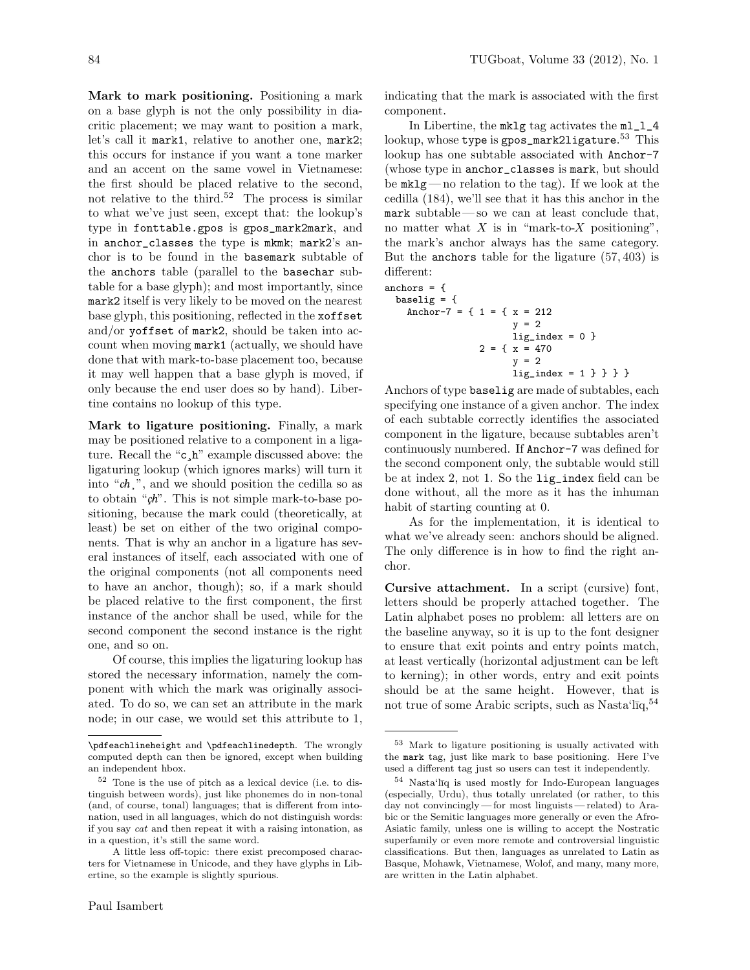Mark to mark positioning. Positioning a mark on a base glyph is not the only possibility in diacritic placement; we may want to position a mark, let's call it mark1, relative to another one, mark2; this occurs for instance if you want a tone marker and an accent on the same vowel in Vietnamese: the first should be placed relative to the second, not relative to the third.<sup>52</sup> The process is similar to what we've just seen, except that: the lookup's type in fonttable.gpos is gpos\_mark2mark, and in anchor\_classes the type is mkmk; mark2's anchor is to be found in the basemark subtable of the anchors table (parallel to the basechar subtable for a base glyph); and most importantly, since mark2 itself is very likely to be moved on the nearest base glyph, this positioning, reflected in the xoffset and/or yoffset of mark2, should be taken into account when moving mark1 (actually, we should have done that with mark-to-base placement too, because it may well happen that a base glyph is moved, if only because the end user does so by hand). Libertine contains no lookup of this type.

Mark to ligature positioning. Finally, a mark may be positioned relative to a component in a ligature. Recall the "c¸h" example discussed above: the ligaturing lookup (which ignores marks) will turn it into " $ch$ ,", and we should position the cedilla so as to obtain " $\zeta h$ ". This is not simple mark-to-base positioning, because the mark could (theoretically, at least) be set on either of the two original components. That is why an anchor in a ligature has several instances of itself, each associated with one of the original components (not all components need to have an anchor, though); so, if a mark should be placed relative to the first component, the first instance of the anchor shall be used, while for the second component the second instance is the right one, and so on.

Of course, this implies the ligaturing lookup has stored the necessary information, namely the component with which the mark was originally associated. To do so, we can set an attribute in the mark node; in our case, we would set this attribute to 1, indicating that the mark is associated with the first component.

In Libertine, the mklg tag activates the ml\_l\_4 lookup, whose type is gpos\_mark2ligature. <sup>53</sup> This lookup has one subtable associated with Anchor-7 (whose type in anchor\_classes is mark, but should be mklg— no relation to the tag). If we look at the cedilla (184), we'll see that it has this anchor in the mark subtable— so we can at least conclude that, no matter what  $X$  is in "mark-to- $X$  positioning", the mark's anchor always has the same category. But the anchors table for the ligature (57, 403) is different:

anchors  $=$  { baselig  $=$  { Anchor-7 = {  $1 =$  {  $x = 212$  $y = 2$ lig\_index = 0 }  $2 = \{ x = 470$ y = 2 lig\_index = 1 } } } }

Anchors of type baselig are made of subtables, each specifying one instance of a given anchor. The index of each subtable correctly identifies the associated component in the ligature, because subtables aren't continuously numbered. If Anchor-7 was defined for the second component only, the subtable would still be at index 2, not 1. So the lig\_index field can be done without, all the more as it has the inhuman habit of starting counting at 0.

As for the implementation, it is identical to what we've already seen: anchors should be aligned. The only difference is in how to find the right anchor.

Cursive attachment. In a script (cursive) font, letters should be properly attached together. The Latin alphabet poses no problem: all letters are on the baseline anyway, so it is up to the font designer to ensure that exit points and entry points match, at least vertically (horizontal adjustment can be left to kerning); in other words, entry and exit points should be at the same height. However, that is not true of some Arabic scripts, such as Nasta $\mathrm{i}I_{\text{q}}^{54}$ 

<sup>\</sup>pdfeachlineheight and \pdfeachlinedepth. The wrongly computed depth can then be ignored, except when building an independent hbox.

<sup>52</sup> Tone is the use of pitch as a lexical device (i.e. to distinguish between words), just like phonemes do in non-tonal (and, of course, tonal) languages; that is different from intonation, used in all languages, which do not distinguish words: if you say cat and then repeat it with a raising intonation, as in a question, it's still the same word.

A little less off-topic: there exist precomposed characters for Vietnamese in Unicode, and they have glyphs in Libertine, so the example is slightly spurious.

<sup>53</sup> Mark to ligature positioning is usually activated with the mark tag, just like mark to base positioning. Here I've used a different tag just so users can test it independently.

 $54$  Nasta'l $\overline{1q}$  is used mostly for Indo-European languages (especially, Urdu), thus totally unrelated (or rather, to this day not convincingly— for most linguists — related) to Arabic or the Semitic languages more generally or even the Afro-Asiatic family, unless one is willing to accept the Nostratic superfamily or even more remote and controversial linguistic classifications. But then, languages as unrelated to Latin as Basque, Mohawk, Vietnamese, Wolof, and many, many more, are written in the Latin alphabet.